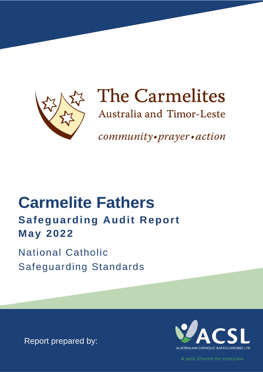

# The Carmelites

Australia and Timor-Leste

community•prayer•action

## **Carmelite Fathers Safeguarding Audit Report May 2022**

**National Catholic Safeguarding Standards** 

Report prepared by:



A safe Church for everyone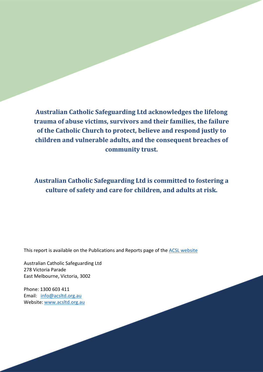**Australian Catholic Safeguarding Ltd acknowledges the lifelong trauma of abuse victims, survivors and their families, the failure of the Catholic Church to protect, believe and respond justly to children and vulnerable adults, and the consequent breaches of community trust.**

**Australian Catholic Safeguarding Ltd is committed to fostering a culture of safety and care for children, and adults at risk.** 

This report is available on the Publications and Reports page of the **ACSL** [website](https://www.acsltd.org.au/about-us/publications-and-reports/)

Australian Catholic Safeguarding Ltd 278 Victoria Parade East Melbourne, Victoria, 3002

Phone: 1300 603 411 Email: [info@acsltd.org.au](mailto:info@acsltd.org.au) Website: [www.acsltd.org.au](http://www.acsltd.org.au/)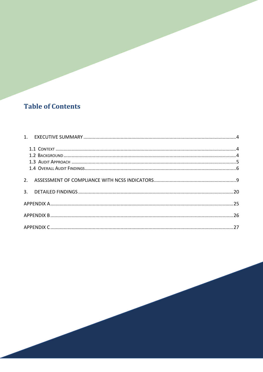## **Table of Contents**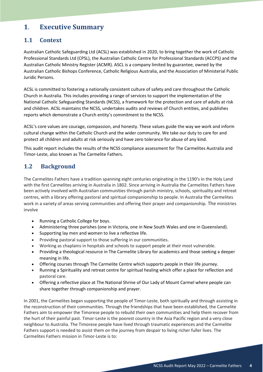#### <span id="page-3-0"></span>**1**. **Executive Summary**

#### <span id="page-3-1"></span>**1.1 Context**

Australian Catholic Safeguarding Ltd (ACSL) was established in 2020, to bring together the work of Catholic Professional Standards Ltd (CPSL), the Australian Catholic Centre for Professional Standards (ACCPS) and the Australian Catholic Ministry Register (ACMR). ASCL is a company limited by guarantee, owned by the Australian Catholic Bishops Conference, Catholic Religious Australia, and the Association of Ministerial Public Juridic Persons.

ACSL is committed to fostering a nationally consistent culture of safety and care throughout the Catholic Church in Australia. This includes providing a range of services to support the implementation of the National Catholic Safeguarding Standards (NCSS), a framework for the protection and care of adults at risk and children. ACSL maintains the NCSS, undertakes audits and reviews of Church entities, and publishes reports which demonstrate a Church entity's commitment to the NCSS.

ACSL's core values are courage, compassion, and honesty. These values guide the way we work and inform cultural change within the Catholic Church and the wider community. We take our duty to care for and protect all children and adults at risk seriously and have zero tolerance for abuse of any kind.

This audit report includes the results of the NCSS compliance assessment for The Carmelites Australia and Timor-Leste, also known as The Carmelite Fathers.

#### <span id="page-3-2"></span>**1.2 Background**

The Carmelites Fathers have a tradition spanning eight centuries originating in the 1190's in the Holy Land with the first Carmelites arriving in Australia in 1802. Since arriving in Australia the Carmelites Fathers have been actively involved with Australian communities through parish ministry, schools, spirituality and retreat centres, with a library offering pastoral and spiritual companionship to people. In Australia the Carmelites work in a variety of areas serving communities and offering their prayer and companionship. The ministries involve

- Running a [Catholic College for boys.](http://www.whitefriars.vic.edu.au/)
- Administering three [parishes](https://www.carmelites.org.au/parishes) (one in Victoria, one in New South Wales and one in Queensland).
- Supporting [lay men and women to live a reflective life.](https://www.carmelites.org.au/laycarmelites)
- Providing pastoral support to those suffering in our communities.
- Working as chaplains in hospitals and schools to support people at their most vulnerable.
- Providing a theological resource in [The Carmelite Library](http://www.carmelitelibrary.org/) for academics and those seeking a deeper meaning in life.
- Offering courses through [The Carmelite Centre](http://www.thecarmelitecentremelbourne.org/) which supports people in their life journey.
- Running [a Spirituality and](https://www.carmelites.org.au/spirituality-10) retreat centre for spiritual healing which offer a place for reflection and pastoral care.
- Offering a reflective place at [The National Shrine of Our Lady of Mount Carmel](https://www.carmelites.org.au/olmc) where people can share together through companionship and prayer.

In 2001, the Carmelites began supporting the people of Timor-Leste, both spiritually and through assisting in the reconstruction of their communities. Through the friendships that have been established, the Carmelite Fathers aim to empower the Timorese people to rebuild their own communities and help them recover from the hurt of their painful past. Timor-Leste is the poorest country in the Asia Pacific region and a very close neighbour to Australia. The Timorese people have lived through traumatic experiences and the Carmelite Fathers support is needed to assist them on the journey from despair to living richer fuller lives. The Carmelites Fathers mission in Timor-Leste is to: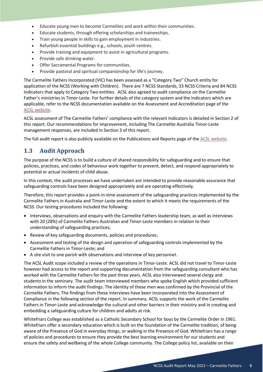- Educate young men to become Carmelites and work within their communities.
- Educate students, through offering scholarships and traineeships.
- Train young people in skills to gain employment in industries.
- Refurbish essential buildings e.g., schools, youth centres.
- Provide training and equipment to assist in agricultural programs.
- Provide safe drinking water.
- Offer Sacramental Programs for communities.
- Provide pastoral and spiritual companionship for life's journey.

The Carmelite Fathers Incorporated (VIC) has been assessed as a "Category Two" Church entity for application of the NCSS (Working with Children). There are 7 NCSS Standards, 33 NCSS Criteria and 84 NCSS Indicators that apply to Category Two entities. ACSL also agreed to audit compliance on the Carmelite Father's ministries in Timor-Leste. For further details of the category system and the Indicators which are applicable, refer to the NCSS documentation available on the Assessment and Accreditation page of the [ACSL website.](https://www.acsltd.org.au/services/review-and-audit/)

ACSL assessment of The Carmelite Fathers' compliance with the relevant Indicators is detailed in Section 2 of this report. Our recommendations for improvement, including The Carmelite Australia Timor-Leste management responses, are included in Section 3 of this report.

The full audit report is also publicly available on the Publications and Reports page of the [ACSL website.](https://www.acsltd.org.au/about-us/publications-and-reports/)

#### <span id="page-4-0"></span>**1.3 Audit Approach**

The purpose of the NCSS is to build a culture of shared responsibility for safeguarding and to ensure that policies, practices, and codes of behaviour work together to prevent, detect, and respond appropriately to potential or actual incidents of child abuse.

In this context, the audit processes we have undertaken are intended to provide reasonable assurance that safeguarding controls have been designed appropriately and are operating effectively.

Therefore, this report provides a point-in-time assessment of the safeguarding practices implemented by the Carmelite Fathers in Australia and Timor-Leste and the extent to which it meets the requirements of the NCSS. Our testing procedures included the following:

- Interviews, observations and enquiry with the Carmelite Fathers leadership team, as well as interviews with 20 (28%) of Carmelite Fathers Australian and Timor-Leste members in relation to their understanding of safeguarding practices;
- Review of key safeguarding documents, policies and procedures;
- Assessment and testing of the design and operation of safeguarding controls implemented by the Carmelite Fathers in Timor-Leste; and
- A site visit to one parish with observations and interview of key personnel.

The ACSL Audit scope included a review of the operations in Timor-Leste. ACSL did not travel to Timor-Leste however had access to the report and supporting documentation from the safeguarding consultant who has worked with the Carmelite Fathers for the past three years. ACSL also interviewed several clergy and students in the seminary. The audit team interviewed members who spoke English which provided sufficient information to inform the audit findings. The identity of these men was confirmed by the Provincial of the Carmelite Fathers. The findings from these interviews have been incorporated into the Assessment of Compliance in the following section of the report. In summary, ACSL supports the work of the Carmelite Fathers in Timor-Leste and acknowledge the cultural and other barriers in their ministry and in creating and embedding a safeguarding culture for children and adults at risk.

Whitefriars College was established as a Catholic Secondary School for boys by the Carmelite Order in 1961. Whitefriars offer a secondary education which is built on the foundation of the Carmelite tradition, of being aware of the Presence of God in everyday things, or walking in the Presence of God. Whitefriars has a range of policies and procedures to ensure they provide the best learning environment for our students and ensure the safety and wellbeing of the whole College community. The College policy list, available on their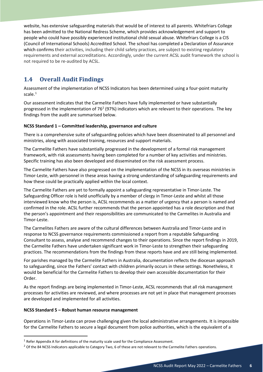website, has extensive safeguarding materials that would be of interest to all parents. Whitefriars College has been admitted to the National Redress Scheme, which provides acknowledgement and support to people who could have possibly experienced institutional child sexual abuse. Whitefriars College is a CIS (Council of International Schools) Accredited School. The school has completed a Declaration of Assurance which confirms their activities, including their child safety practices, are subject to existing regulatory requirements and external accreditations. Accordingly, under the current ACSL audit framework the school is not required to be re-audited by ACSL.

#### <span id="page-5-0"></span>**1.4 Overall Audit Findings**

Assessment of the implementation of NCSS Indicators has been determined using a four-point maturity scale. [1](#page-5-1)

Our assessment indicates that the Carmelite Fathers have fully implemented or have substantially progressed in the implementation of 76<sup>[2](#page-5-2)</sup> (97%) indicators which are relevant to their operations. The key findings from the audit are summarised below.

#### **NCSS Standard 1 – Committed leadership, governance and culture**

There is a comprehensive suite of safeguarding policies which have been disseminated to all personnel and ministries, along with associated training, resources and support materials.

The Carmelite Fathers have substantially progressed in the development of a formal risk management framework, with risk assessments having been completed for a number of key activities and ministries. Specific training has also been developed and disseminated on the risk assessment process.

The Carmelite Fathers have also progressed on the implementation of the NCSS in its overseas ministries in Timor-Leste, with personnel in these areas having a strong understanding of safeguarding requirements and how these could be practically applied within the local context.

The Carmelite Fathers are yet to formally appoint a safeguarding representative in Timor-Leste. The Safeguarding Officer role is held unofficially by a member of clergy in Timor-Leste and whilst all those interviewed know who the person is, ACSL recommends as a matter of urgency that a person is named and confirmed in the role. ACSL further recommends that the person appointed has a role description and that the person's appointment and their responsibilities are communicated to the Carmelites in Australia and Timor-Leste.

The Carmelites Fathers are aware of the cultural differences between Australia and Timor-Leste and in response to NCSS governance requirements commissioned a report from a reputable Safeguarding Consultant to assess, analyse and recommend changes to their operations. Since the report findings in 2019, the Carmelite Fathers have undertaken significant work in Timor-Leste to strengthen their safeguarding practices. The recommendations from the findings from these reports have and are still being implemented.

For parishes managed by the Carmelite Fathers in Australia, documentation reflects the diocesan approach to safeguarding, since the Fathers' contact with children primarily occurs in these settings. Nonetheless, it would be beneficial for the Carmelite Fathers to develop their own accessible documentation for their Order.

As the report findings are being implemented in Timor-Leste, ACSL recommends that all risk management processes for activities are reviewed, and where processes are not yet in place that management processes are developed and implemented for all activities.

#### **NCSS Standard 5 – Robust human resource management**

Operations in Timor-Leste can prove challenging given the local administrative arrangements. It is impossible for the Carmelite Fathers to secure a legal document from police authorities, which is the equivalent of a

<span id="page-5-1"></span><sup>&</sup>lt;sup>1</sup> Refer Appendix A for definitions of the maturity scale used for the Compliance Assessment.

<span id="page-5-2"></span> $2$  Of the 84 NCSS Indicators applicable to Category Two, 6 of these are not relevant to the Carmelite Fathers operations.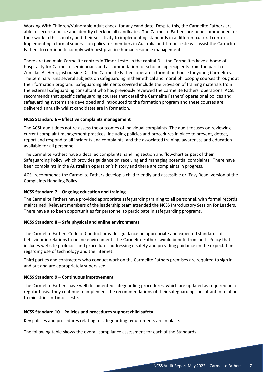Working With Children/Vulnerable Adult check, for any candidate. Despite this, the Carmelite Fathers are able to secure a police and identity check on all candidates. The Carmelite Fathers are to be commended for their work in this country and their sensitivity to implementing standards in a different cultural context. Implementing a formal supervision policy for members in Australia and Timor-Leste will assist the Carmelite Fathers to continue to comply with best practice human resource management.

There are two main Carmelite centres in Timor-Leste. In the capital Dili, the Carmelites have a home of hospitality for Carmelite seminarians and accommodation for scholarship recipients from the parish of Zumalai. At Hera, just outside Dili, the Carmelite Fathers operate a formation house for young Carmelites. The seminary runs several subjects on safeguarding in their ethical and moral philosophy courses throughout their formation program. Safeguarding elements covered include the provision of training materials from the external safeguarding consultant who has previously reviewed the Carmelite Fathers' operations. ACSL recommends that specific safeguarding courses that detail the Carmelite Fathers' operational polices and safeguarding systems are developed and introduced to the formation program and these courses are delivered annually whilst candidates are in formation.

#### **NCSS Standard 6 – Effective complaints management**

The ACSL audit does not re-assess the outcomes of individual complaints. The audit focuses on reviewing current complaint management practices, including policies and procedures in place to prevent, detect, report and respond to all incidents and complaints, and the associated training, awareness and education available for all personnel.

The Carmelite Fathers have a detailed complaints handling section and flowchart as part of their Safeguarding Policy, which provides guidance on receiving and managing potential complaints. There have been complaints in the Australian operation's history and there are complaints in progress.

ACSL recommends the Carmelite Fathers develop a child friendly and accessible or 'Easy Read' version of the Complaints Handling Policy.

#### **NCSS Standard 7 – Ongoing education and training**

The Carmelite Fathers have provided appropriate safeguarding training to all personnel, with formal records maintained. Relevant members of the leadership team attended the NCSS Introductory Session for Leaders. There have also been opportunities for personnel to participate in safeguarding programs.

#### **NCSS Standard 8 – Safe physical and online environments**

The Carmelite Fathers Code of Conduct provides guidance on appropriate and expected standards of behaviour in relations to online environment. The Carmelite Fathers would benefit from an IT Policy that includes website protocols and procedures addressing e-safety and providing guidance on the expectations regarding use of technology and the internet.

Third parties and contractors who conduct work on the Carmelite Fathers premises are required to sign in and out and are appropriately supervised.

#### **NCSS Standard 9 – Continuous improvement**

The Carmelite Fathers have well documented safeguarding procedures, which are updated as required on a regular basis. They continue to implement the recommendations of their safeguarding consultant in relation to ministries in Timor-Leste.

#### **NCSS Standard 10 – Policies and procedures support child safety**

Key policies and procedures relating to safeguarding requirements are in place.

The following table shows the overall compliance assessment for each of the Standards.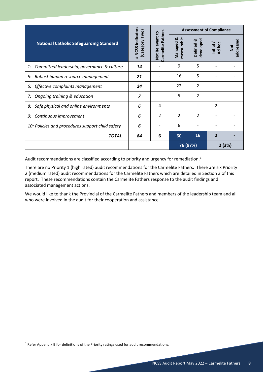|                                                  |                                    |                                                | <b>Assessment of Compliance</b> |                          |                          |                         |  |
|--------------------------------------------------|------------------------------------|------------------------------------------------|---------------------------------|--------------------------|--------------------------|-------------------------|--|
| <b>National Catholic Safeguarding Standard</b>   | # NCSS Indicators<br>Category Two) | <b>Fathers</b><br>Not Relevant to<br>Carmelite | ಳ<br>asurabl<br>Managed<br>eã   | developed<br>Defined &   | Ad hoc<br>Initial        | addressed<br><b>Not</b> |  |
| 1: Committed leadership, governance & culture    | 14                                 |                                                | 9                               | 5                        |                          |                         |  |
| 5: Robust human resource management              | 21                                 |                                                | 16                              | 5                        |                          |                         |  |
| 6: Effective complaints management               | 24                                 |                                                | 22                              | $\overline{\mathcal{L}}$ |                          |                         |  |
| 7: Ongoing training & education                  | $\overline{z}$                     |                                                | 5                               | $\overline{2}$           |                          |                         |  |
| Safe physical and online environments<br>8:      | 6                                  | 4                                              |                                 |                          | $\overline{\phantom{a}}$ |                         |  |
| 9: Continuous improvement                        | 6                                  | $\overline{\mathcal{L}}$                       | $\mathfrak{p}$                  | $\overline{\mathcal{L}}$ |                          |                         |  |
| 10: Policies and procedures support child safety | 6                                  |                                                | 6                               |                          |                          |                         |  |
| <b>TOTAL</b>                                     | 84                                 | 6                                              | 60                              | 16                       | 2                        |                         |  |
|                                                  |                                    |                                                | 76 (97%)                        |                          | 2(3%)                    |                         |  |

Audit recommendations are classified according to priority and urgency for remediation.<sup>[3](#page-7-0)</sup>

There are no Priority 1 (high rated) audit recommendations for the Carmelite Fathers. There are six Priority 2 (medium rated) audit recommendations for the Carmelite Fathers which are detailed in Section 3 of this report. These recommendations contain the Carmelite Fathers response to the audit findings and associated management actions.

We would like to thank the Provincial of the Carmelite Fathers and members of the leadership team and all who were involved in the audit for their cooperation and assistance.

<span id="page-7-0"></span><sup>&</sup>lt;sup>3</sup> Refer Appendix B for definitions of the Priority ratings used for audit recommendations.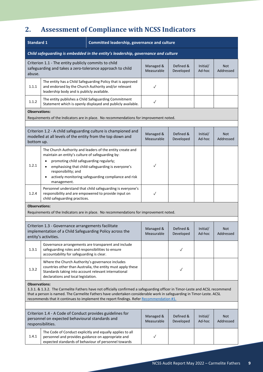## <span id="page-8-0"></span>**2. Assessment of Compliance with NCSS Indicators**

| <b>Standard 1</b>                                                                                                                                                                                                                                                                                                                                                       |                                                                                                                                                                          | Committed leadership, governance and culture                                                                                                                           |                         |                        |                    |                         |
|-------------------------------------------------------------------------------------------------------------------------------------------------------------------------------------------------------------------------------------------------------------------------------------------------------------------------------------------------------------------------|--------------------------------------------------------------------------------------------------------------------------------------------------------------------------|------------------------------------------------------------------------------------------------------------------------------------------------------------------------|-------------------------|------------------------|--------------------|-------------------------|
| Child safeguarding is embedded in the entity's leadership, governance and culture                                                                                                                                                                                                                                                                                       |                                                                                                                                                                          |                                                                                                                                                                        |                         |                        |                    |                         |
| abuse.                                                                                                                                                                                                                                                                                                                                                                  | Criterion 1.1 - The entity publicly commits to child<br>safeguarding and takes a zero-tolerance approach to child                                                        |                                                                                                                                                                        | Managed &<br>Measurable | Defined &<br>Developed | Initial/<br>Ad-hoc | <b>Not</b><br>Addressed |
| 1.1.1                                                                                                                                                                                                                                                                                                                                                                   | leadership body and is publicly available.                                                                                                                               | The entity has a Child Safeguarding Policy that is approved<br>and endorsed by the Church Authority and/or relevant                                                    | $\checkmark$            |                        |                    |                         |
| 1.1.2                                                                                                                                                                                                                                                                                                                                                                   |                                                                                                                                                                          | The entity publishes a Child Safeguarding Commitment<br>Statement which is openly displayed and publicly available.                                                    | $\checkmark$            |                        |                    |                         |
| <b>Observations:</b>                                                                                                                                                                                                                                                                                                                                                    |                                                                                                                                                                          | Requirements of the Indicators are in place. No recommendations for improvement noted.                                                                                 |                         |                        |                    |                         |
| bottom up.                                                                                                                                                                                                                                                                                                                                                              | modelled at all levels of the entity from the top down and                                                                                                               | Criterion 1.2 - A child safeguarding culture is championed and                                                                                                         | Managed &<br>Measurable | Defined &<br>Developed | Initial/<br>Ad-hoc | <b>Not</b><br>Addressed |
| 1.2.1                                                                                                                                                                                                                                                                                                                                                                   | maintain an entity's culture of safeguarding by:<br>promoting child safeguarding regularly;<br>$\bullet$<br>$\bullet$<br>responsibility; and<br>$\bullet$<br>management. | The Church Authority and leaders of the entity create and<br>emphasising that child-safeguarding is everyone's<br>actively monitoring safeguarding compliance and risk | $\checkmark$            |                        |                    |                         |
| 1.2.4                                                                                                                                                                                                                                                                                                                                                                   | child safeguarding practices.                                                                                                                                            | Personnel understand that child safeguarding is everyone's<br>responsibility and are empowered to provide input on                                                     | $\checkmark$            |                        |                    |                         |
| <b>Observations:</b>                                                                                                                                                                                                                                                                                                                                                    |                                                                                                                                                                          | Requirements of the Indicators are in place. No recommendations for improvement noted.                                                                                 |                         |                        |                    |                         |
|                                                                                                                                                                                                                                                                                                                                                                         | Criterion 1.3 - Governance arrangements facilitate<br>implementation of a Child Safeguarding Policy across the<br>entity's activities.                                   |                                                                                                                                                                        | Managed &<br>Measurable | Defined &<br>Developed | Initial/<br>Ad-hoc | <b>Not</b><br>Addressed |
| 1.3.1                                                                                                                                                                                                                                                                                                                                                                   | safeguarding roles and responsibilities to ensure<br>accountability for safeguarding is clear.                                                                           | Governance arrangements are transparent and include                                                                                                                    |                         | $\checkmark$           |                    |                         |
| 1.3.2                                                                                                                                                                                                                                                                                                                                                                   | Where the Church Authority's governance includes<br>Standards taking into account relevant international<br>declarations and local legislation.                          | countries other than Australia, the entity must apply these                                                                                                            |                         | ✓                      |                    |                         |
| <b>Observations:</b><br>1.3.1. & 1.3.2. The Carmelite Fathers have not officially confirmed a safeguarding officer in Timor-Leste and ACSL recommend<br>that a person is named. The Carmelite Fathers have undertaken considerable work in safeguarding in Timor-Leste. ACSL<br>recommends that it continues to implement the report findings. Refer Recommendation #1. |                                                                                                                                                                          |                                                                                                                                                                        |                         |                        |                    |                         |
|                                                                                                                                                                                                                                                                                                                                                                         | Criterion 1.4 - A Code of Conduct provides guidelines for<br>personnel on expected behavioural standards and<br>responsibilities.                                        |                                                                                                                                                                        | Managed &<br>Measurable | Defined &<br>Developed | Initial/<br>Ad-hoc | <b>Not</b><br>Addressed |
| 1.4.1                                                                                                                                                                                                                                                                                                                                                                   | personnel and provides guidance on appropriate and                                                                                                                       | The Code of Conduct explicitly and equally applies to all<br>expected standards of behaviour of personnel towards                                                      | $\checkmark$            |                        |                    |                         |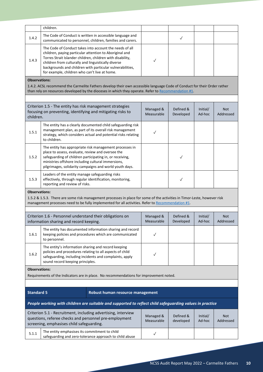|                      | children.                                                                                                                                                                                                                     |                                                                                                                                                                                                                                               |                         |                        |                    |                         |  |  |  |
|----------------------|-------------------------------------------------------------------------------------------------------------------------------------------------------------------------------------------------------------------------------|-----------------------------------------------------------------------------------------------------------------------------------------------------------------------------------------------------------------------------------------------|-------------------------|------------------------|--------------------|-------------------------|--|--|--|
| 1.4.2                |                                                                                                                                                                                                                               | The Code of Conduct is written in accessible language and<br>communicated to personnel, children, families and carers.                                                                                                                        |                         | $\checkmark$           |                    |                         |  |  |  |
| 1.4.3                | children from culturally and linguistically diverse<br>for example, children who can't live at home.                                                                                                                          | The Code of Conduct takes into account the needs of all<br>children, paying particular attention to Aboriginal and<br>Torres Strait Islander children, children with disability,<br>backgrounds and children with particular vulnerabilities, | ✓                       |                        |                    |                         |  |  |  |
| <b>Observations:</b> |                                                                                                                                                                                                                               |                                                                                                                                                                                                                                               |                         |                        |                    |                         |  |  |  |
|                      |                                                                                                                                                                                                                               | 1.4.2. ACSL recommend the Carmelite Fathers develop their own accessible language Code of Conduct for their Order rather<br>than rely on resources developed by the dioceses in which they operate. Refer to Recommendation #1.               |                         |                        |                    |                         |  |  |  |
|                      |                                                                                                                                                                                                                               |                                                                                                                                                                                                                                               |                         |                        |                    |                         |  |  |  |
| children.            | Criterion 1.5 - The entity has risk management strategies<br>focusing on preventing, identifying and mitigating risks to                                                                                                      |                                                                                                                                                                                                                                               | Managed &<br>Measurable | Defined &<br>Developed | Initial/<br>Ad-hoc | <b>Not</b><br>Addressed |  |  |  |
| 1.5.1                | to children.                                                                                                                                                                                                                  | The entity has a clearly documented child safeguarding risk<br>management plan, as part of its overall risk management<br>strategy, which considers actual and potential risks relating                                                       | $\checkmark$            |                        |                    |                         |  |  |  |
| 1.5.2                | place to assess, evaluate, review and oversee the<br>safeguarding of children participating in, or receiving,<br>ministries offshore including cultural immersions,                                                           | The entity has appropriate risk management processes in<br>pilgrimages, solidarity campaigns and world youth days.                                                                                                                            |                         | ✓                      |                    |                         |  |  |  |
| 1.5.3                | Leaders of the entity manage safeguarding risks<br>reporting and review of risks.                                                                                                                                             | effectively, through regular identification, monitoring,                                                                                                                                                                                      |                         | $\checkmark$           |                    |                         |  |  |  |
| <b>Observations:</b> |                                                                                                                                                                                                                               |                                                                                                                                                                                                                                               |                         |                        |                    |                         |  |  |  |
|                      | 1.5.2 & 1.5.3. There are some risk management processes in place for some of the activities in Timor-Leste, however risk<br>management processes need to be fully implemented for all activities. Refer to Recommendation #1. |                                                                                                                                                                                                                                               |                         |                        |                    |                         |  |  |  |
|                      | Criterion 1.6 - Personnel understand their obligations on<br>information sharing and record keeping.                                                                                                                          |                                                                                                                                                                                                                                               | Managed &<br>Measurable | Defined &<br>Developed | Initial/<br>Ad-hoc | <b>Not</b><br>Addressed |  |  |  |
| 1.6.1                | to personnel.                                                                                                                                                                                                                 | The entity has documented information sharing and record<br>keeping policies and procedures which are communicated                                                                                                                            | $\checkmark$            |                        |                    |                         |  |  |  |
| 1.6.2                | The entity's information sharing and record keeping<br>policies and procedures relating to all aspects of child<br>safeguarding, including incidents and complaints, apply<br>sound record keeping principles.                |                                                                                                                                                                                                                                               | ✓                       |                        |                    |                         |  |  |  |
| <b>Observations:</b> |                                                                                                                                                                                                                               |                                                                                                                                                                                                                                               |                         |                        |                    |                         |  |  |  |
|                      |                                                                                                                                                                                                                               | Requirements of the Indicators are in place. No recommendations for improvement noted.                                                                                                                                                        |                         |                        |                    |                         |  |  |  |
|                      |                                                                                                                                                                                                                               |                                                                                                                                                                                                                                               |                         |                        |                    |                         |  |  |  |
| <b>Standard 5</b>    |                                                                                                                                                                                                                               | Robust human resource management                                                                                                                                                                                                              |                         |                        |                    |                         |  |  |  |
|                      |                                                                                                                                                                                                                               | People working with children are suitable and supported to reflect child safeguarding values in practice                                                                                                                                      |                         |                        |                    |                         |  |  |  |
|                      | questions, referee checks and personnel pre-employment<br>screening, emphasises child safeguarding.                                                                                                                           | Criterion 5.1 - Recruitment, including advertising, interview                                                                                                                                                                                 | Managed &<br>Measurable | Defined &<br>developed | Initial/<br>Ad-hoc | <b>Not</b><br>Addressed |  |  |  |
| 5.1.1                | The entity emphasises its commitment to child                                                                                                                                                                                 | safeguarding and zero-tolerance approach to child abuse                                                                                                                                                                                       | ✓                       |                        |                    |                         |  |  |  |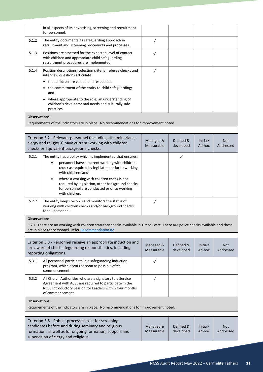|                      | in all aspects of its advertising, screening and recruitment<br>for personnel.                                                                                                                                  |                         |                        |                    |                         |
|----------------------|-----------------------------------------------------------------------------------------------------------------------------------------------------------------------------------------------------------------|-------------------------|------------------------|--------------------|-------------------------|
| 5.1.2                | The entity documents its safeguarding approach in<br>recruitment and screening procedures and processes.                                                                                                        | $\checkmark$            |                        |                    |                         |
| 5.1.3                | Positions are assessed for the expected level of contact<br>with children and appropriate child safeguarding<br>recruitment procedures are implemented.                                                         | $\checkmark$            |                        |                    |                         |
| 5.1.4                | Position descriptions, selection criteria, referee checks and<br>interview questions articulate:                                                                                                                | $\checkmark$            |                        |                    |                         |
|                      | • that children are valued and respected.                                                                                                                                                                       |                         |                        |                    |                         |
|                      | • the commitment of the entity to child safeguarding;<br>and                                                                                                                                                    |                         |                        |                    |                         |
|                      | where appropriate to the role, an understanding of<br>children's developmental needs and culturally safe<br>practices.                                                                                          |                         |                        |                    |                         |
| <b>Observations:</b> |                                                                                                                                                                                                                 |                         |                        |                    |                         |
|                      | Requirements of the Indicators are in place. No recommendations for improvement noted                                                                                                                           |                         |                        |                    |                         |
|                      |                                                                                                                                                                                                                 |                         |                        |                    |                         |
|                      | Criterion 5.2 - Relevant personnel (including all seminarians,<br>clergy and religious) have current working with children<br>checks or equivalent background checks.                                           | Managed &<br>Measurable | Defined &<br>developed | Initial/<br>Ad-hoc | <b>Not</b><br>Addressed |
| 5.2.1                | The entity has a policy which is implemented that ensures:                                                                                                                                                      |                         | $\checkmark$           |                    |                         |
|                      | personnel have a current working with children<br>check as required by legislation, prior to working<br>with children; and                                                                                      |                         |                        |                    |                         |
|                      | where a working with children check is not<br>required by legislation, other background checks<br>for personnel are conducted prior to working<br>with children.                                                |                         |                        |                    |                         |
| 5.2.2                | The entity keeps records and monitors the status of<br>working with children checks and/or background checks<br>for all personnel.                                                                              | $\checkmark$            |                        |                    |                         |
| <b>Observations:</b> |                                                                                                                                                                                                                 |                         |                        |                    |                         |
|                      | 5.2.1. There are no working with children statutory checks available in Timor-Leste. There are police checks available and these<br>are in place for personnel. Refer Recommendation #2.                        |                         |                        |                    |                         |
|                      |                                                                                                                                                                                                                 |                         |                        |                    |                         |
|                      | Criterion 5.3 - Personnel receive an appropriate induction and<br>are aware of child safeguarding responsibilities, including<br>reporting obligations.                                                         | Managed &<br>Measurable | Defined &<br>developed | Initial/<br>Ad-hoc | <b>Not</b><br>Addressed |
| 5.3.1                | All personnel participate in a safeguarding induction<br>program, which occurs as soon as possible after<br>commencement.                                                                                       | $\checkmark$            |                        |                    |                         |
| 5.3.2                | All Church Authorities who are a signatory to a Service<br>Agreement with ACSL are required to participate in the<br>NCSS Introductory Session for Leaders within four months<br>of commencement.               | $\checkmark$            |                        |                    |                         |
| <b>Observations:</b> | Requirements of the Indicators are in place. No recommendations for improvement noted.                                                                                                                          |                         |                        |                    |                         |
|                      |                                                                                                                                                                                                                 |                         |                        |                    |                         |
|                      | Criterion 5.5 - Robust processes exist for screening<br>candidates before and during seminary and religious<br>formation, as well as for ongoing formation, support and<br>supervision of clergy and religious. | Managed &<br>Measurable | Defined &<br>developed | Initial/<br>Ad-hoc | <b>Not</b><br>Addressed |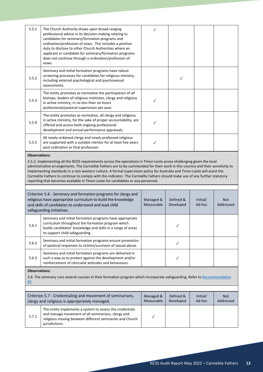| 5.5.1                       | The Church Authority draws upon broad-ranging<br>professional advice in its decision-making relating to<br>candidates for seminary/formation programs and<br>ordination/profession of vows. This includes a positive<br>duty to disclose to other Church Authorities where an<br>applicant or candidate for seminary/formation programs<br>does not continue through o ordination/profession of<br>vows.                                                                                                                                                                                                                                                                                                                                                                         | $\checkmark$            |                        |                    |                         |  |  |  |
|-----------------------------|----------------------------------------------------------------------------------------------------------------------------------------------------------------------------------------------------------------------------------------------------------------------------------------------------------------------------------------------------------------------------------------------------------------------------------------------------------------------------------------------------------------------------------------------------------------------------------------------------------------------------------------------------------------------------------------------------------------------------------------------------------------------------------|-------------------------|------------------------|--------------------|-------------------------|--|--|--|
| 5.5.2                       | Seminary and initial formation programs have robust<br>screening processes for candidates for religious ministry,<br>including external psychological and psychosexual<br>assessments.                                                                                                                                                                                                                                                                                                                                                                                                                                                                                                                                                                                           |                         | $\checkmark$           |                    |                         |  |  |  |
| 5.5.3                       | The entity promotes as normative the participation of all<br>bishops, leaders of religious institutes, clergy and religious<br>in active ministry, in no less than six hours<br>professional/pastoral supervision per year.                                                                                                                                                                                                                                                                                                                                                                                                                                                                                                                                                      | ✓                       |                        |                    |                         |  |  |  |
| 5.5.4                       | The entity promotes as normative, all clergy and religious<br>in active ministry, for the sake of proper accountability, are<br>offered and access both ongoing professional<br>development and annual performance appraisals.                                                                                                                                                                                                                                                                                                                                                                                                                                                                                                                                                   | ✓                       |                        |                    |                         |  |  |  |
| 5.5.5                       | All newly ordained clergy and newly professed religious<br>are supported with a suitable mentor for at least five years<br>post ordination or final profession.                                                                                                                                                                                                                                                                                                                                                                                                                                                                                                                                                                                                                  | $\checkmark$            |                        |                    |                         |  |  |  |
| safeguarding initiatives.   | administrative arrangements. The Carmelite Fathers are to be commended for their work in this country and their sensitivity to<br>implementing standards in a non-western culture. A formal supervision policy for Australia and Timor-Leste will assist the<br>Carmelite Fathers to continue to comply with this indicator. The Carmelite Fathers should make use of any further statutory<br>reporting that becomes available in Timor-Leste for candidates or any personnel.<br>Criterion 5.6 - Seminary and formation programs for clergy and<br>religious have appropriate curriculum to build the knowledge<br>Managed &<br>Defined &<br>Initial/<br><b>Not</b><br>and skills of candidates to understand and lead child<br>Measurable<br>Ad-hoc<br>Developed<br>Addressed |                         |                        |                    |                         |  |  |  |
| 5.6.1                       | Seminary and initial formation programs have appropriate<br>curriculum throughout the formation program which<br>builds candidates' knowledge and skills in a range of areas<br>to support child safeguarding                                                                                                                                                                                                                                                                                                                                                                                                                                                                                                                                                                    |                         | $\checkmark$           |                    |                         |  |  |  |
| 5.6.2                       | Seminary and initial formation programs ensure promotion<br>of pastoral responses to victims/survivors of sexual abuse.                                                                                                                                                                                                                                                                                                                                                                                                                                                                                                                                                                                                                                                          |                         | $\checkmark$           |                    |                         |  |  |  |
| 5.6.3                       | Seminary and initial formation programs are delivered in<br>such a way as to protect against the development and/or<br>reinforcement of clericalist attitudes and behaviours.                                                                                                                                                                                                                                                                                                                                                                                                                                                                                                                                                                                                    |                         | $\checkmark$           |                    |                         |  |  |  |
| <b>Observations:</b><br>#2. | 5.6. The seminary runs several courses in their formation program which incorporate safeguarding. Refer to Recommendation                                                                                                                                                                                                                                                                                                                                                                                                                                                                                                                                                                                                                                                        |                         |                        |                    |                         |  |  |  |
|                             | Criterion 5.7 - Credentialing and movement of seminarians,<br>clergy and religious is appropriately managed.                                                                                                                                                                                                                                                                                                                                                                                                                                                                                                                                                                                                                                                                     | Managed &<br>Measurable | Defined &<br>Developed | Initial/<br>Ad-hoc | <b>Not</b><br>Addressed |  |  |  |
| 5.7.1                       | The entity implements a system to assess the credentials<br>and manage movement of all seminarians, clergy and<br>religious moving between different seminaries and Church<br>jurisdictions.                                                                                                                                                                                                                                                                                                                                                                                                                                                                                                                                                                                     | $\checkmark$            |                        |                    |                         |  |  |  |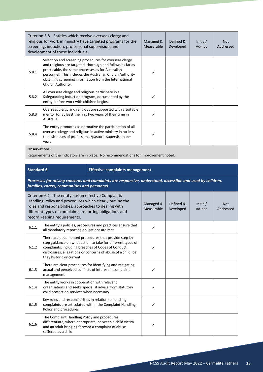|       | Criterion 5.8 - Entities which receive overseas clergy and<br>religious for work in ministry have targeted programs for the<br>screening, induction, professional supervision, and<br>development of these individuals.                                                                                              | Managed &<br>Measurable | Defined &<br>Developed | Initial/<br>Ad-hoc | <b>Not</b><br>Addressed |
|-------|----------------------------------------------------------------------------------------------------------------------------------------------------------------------------------------------------------------------------------------------------------------------------------------------------------------------|-------------------------|------------------------|--------------------|-------------------------|
| 5.8.1 | Selection and screening procedures for overseas clergy<br>and religious are targeted, thorough and follow, as far as<br>practicable, the same processes as for Australian<br>personnel. This includes the Australian Church Authority<br>obtaining screening information from the International<br>Church Authority. |                         |                        |                    |                         |
| 5.8.2 | All overseas clergy and religious participate in a<br>Safeguarding Induction program, documented by the<br>entity, before work with children begins.                                                                                                                                                                 |                         |                        |                    |                         |
| 5.8.3 | Overseas clergy and religious are supported with a suitable<br>mentor for at least the first two years of their time in<br>Australia.                                                                                                                                                                                |                         |                        |                    |                         |
| 5.8.4 | The entity promotes as normative the participation of all<br>overseas clergy and religious in active ministry in no less<br>than six hours of professional/pastoral supervision per<br>year.                                                                                                                         |                         |                        |                    |                         |

**Observations:**

Requirements of the Indicators are in place. No recommendations for improvement noted.

#### **Standard 6 Effective complaints management**

*Processes for raising concerns and complaints are responsive, understood, accessible and used by children, families, carers, communities and personnel*

| Criterion 6.1 - The entity has an effective Complaints<br>Handling Policy and procedures which clearly outline the<br>roles and responsibilities, approaches to dealing with<br>different types of complaints, reporting obligations and<br>record keeping requirements. |                                                                                                                                                                                                                                                                          | Managed &<br>Measurable | Defined &<br>Developed | Initial/<br>Ad-hoc | <b>Not</b><br>Addressed |
|--------------------------------------------------------------------------------------------------------------------------------------------------------------------------------------------------------------------------------------------------------------------------|--------------------------------------------------------------------------------------------------------------------------------------------------------------------------------------------------------------------------------------------------------------------------|-------------------------|------------------------|--------------------|-------------------------|
| 6.1.1                                                                                                                                                                                                                                                                    | The entity's policies, procedures and practices ensure that<br>all mandatory reporting obligations are met.                                                                                                                                                              | $\checkmark$            |                        |                    |                         |
| 6.1.2                                                                                                                                                                                                                                                                    | There are documented procedures that provide step-by-<br>step guidance on what action to take for different types of<br>complaints, including breaches of Codes of Conduct,<br>disclosures, allegations or concerns of abuse of a child, be<br>they historic or current. |                         |                        |                    |                         |
| 6.1.3                                                                                                                                                                                                                                                                    | There are clear procedures for identifying and mitigating<br>actual and perceived conflicts of interest in complaint<br>management.                                                                                                                                      |                         |                        |                    |                         |
| 6.1.4                                                                                                                                                                                                                                                                    | The entity works in cooperation with relevant<br>organisations and seeks specialist advice from statutory<br>child protection services when necessary                                                                                                                    |                         |                        |                    |                         |
| 6.1.5                                                                                                                                                                                                                                                                    | Key roles and responsibilities in relation to handling<br>complaints are articulated within the Complaint Handling<br>Policy and procedures.                                                                                                                             | $\checkmark$            |                        |                    |                         |
| 6.1.6                                                                                                                                                                                                                                                                    | The Complaint Handling Policy and procedures<br>differentiate, where appropriate, between a child victim<br>and an adult bringing forward a complaint of abuse<br>suffered as a child.                                                                                   |                         |                        |                    |                         |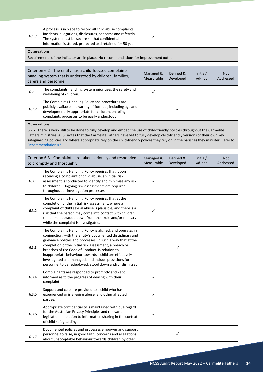| 6.1.7                | A process is in place to record all child abuse complaints,<br>incidents, allegations, disclosures, concerns and referrals.<br>The system must be secure so that confidential<br>information is stored, protected and retained for 50 years.                                                                                                                                                                                                                                       | $\checkmark$            |                        |                    |                         |
|----------------------|------------------------------------------------------------------------------------------------------------------------------------------------------------------------------------------------------------------------------------------------------------------------------------------------------------------------------------------------------------------------------------------------------------------------------------------------------------------------------------|-------------------------|------------------------|--------------------|-------------------------|
| <b>Observations:</b> |                                                                                                                                                                                                                                                                                                                                                                                                                                                                                    |                         |                        |                    |                         |
|                      | Requirements of the Indicator are in place. No recommendations for improvement noted.                                                                                                                                                                                                                                                                                                                                                                                              |                         |                        |                    |                         |
|                      |                                                                                                                                                                                                                                                                                                                                                                                                                                                                                    |                         |                        |                    |                         |
|                      | Criterion 6.2 - The entity has a child-focused complaints<br>handling system that is understood by children, families,                                                                                                                                                                                                                                                                                                                                                             | Managed &               | Defined &              | Initial/           | <b>Not</b>              |
|                      | carers and personnel.                                                                                                                                                                                                                                                                                                                                                                                                                                                              | Measurable              | Developed              | Ad-hoc             | Addressed               |
| 6.2.1                | The complaints handling system prioritises the safety and<br>well-being of children.                                                                                                                                                                                                                                                                                                                                                                                               | $\checkmark$            |                        |                    |                         |
| 6.2.2                | The Complaints Handling Policy and procedures are<br>publicly available in a variety of formats, including age and<br>developmentally appropriate for children, enabling<br>complaints processes to be easily understood.                                                                                                                                                                                                                                                          |                         | $\checkmark$           |                    |                         |
| <b>Observations:</b> |                                                                                                                                                                                                                                                                                                                                                                                                                                                                                    |                         |                        |                    |                         |
|                      | 6.2.2. There is work still to be done to fully develop and embed the use of child-friendly policies throughout the Carmelite<br>Fathers ministries. ACSL notes that the Carmelite Fathers have yet to fully develop child-friendly versions of their own key<br>safeguarding policies and where appropriate rely on the child-friendly polices they rely on in the parishes they minister. Refer to<br><b>Recommendation #3</b>                                                    |                         |                        |                    |                         |
|                      | Criterion 6.3 - Complaints are taken seriously and responded<br>to promptly and thoroughly.                                                                                                                                                                                                                                                                                                                                                                                        | Managed &<br>Measurable | Defined &<br>Developed | Initial/<br>Ad-hoc | <b>Not</b><br>Addressed |
| 6.3.1                | The Complaints Handling Policy requires that, upon<br>receiving a complaint of child abuse, an initial risk<br>assessment is conducted to identify and minimise any risk<br>to children. Ongoing risk assessments are required<br>throughout all investigation processes.                                                                                                                                                                                                          | ✓                       |                        |                    |                         |
| 6.3.2                | The Complaints Handling Policy requires that at the<br>completion of the initial risk assessment, where a<br>complaint of child sexual abuse is plausible, and there is a<br>risk that the person may come into contact with children,<br>the person be stood down from their role and/or ministry<br>while the complaint is investigated.                                                                                                                                         | $\checkmark$            |                        |                    |                         |
| 6.3.3                | The Complaints Handling Policy is aligned, and operates in<br>conjunction, with the entity's documented disciplinary and<br>grievance policies and processes, in such a way that at the<br>completion of the initial risk assessment, a breach or<br>breaches of the Code of Conduct in relation to<br>inappropriate behaviour towards a child are effectively<br>investigated and managed, and include provisions for<br>personnel to be redeployed, stood down and/or dismissed. |                         | $\checkmark$           |                    |                         |
| 6.3.4                | Complainants are responded to promptly and kept<br>informed as to the progress of dealing with their<br>complaint.                                                                                                                                                                                                                                                                                                                                                                 | $\checkmark$            |                        |                    |                         |
| 6.3.5                | Support and care are provided to a child who has<br>experienced or is alleging abuse, and other affected<br>parties.                                                                                                                                                                                                                                                                                                                                                               | $\checkmark$            |                        |                    |                         |
| 6.3.6                | Appropriate confidentiality is maintained with due regard<br>for the Australian Privacy Principles and relevant<br>legislation in relation to information sharing in the context<br>of child safeguarding.                                                                                                                                                                                                                                                                         | $\checkmark$            |                        |                    |                         |
| 6.3.7                | Documented policies and processes empower and support<br>personnel to raise, in good faith, concerns and allegations<br>about unacceptable behaviour towards children by other                                                                                                                                                                                                                                                                                                     |                         | $\checkmark$           |                    |                         |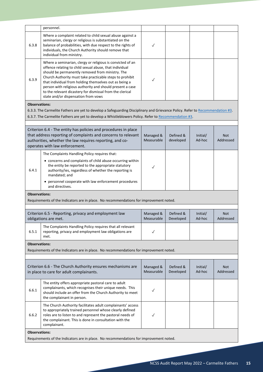|                      | personnel.                                                                                                                                                                                                                                                                                                                                                                                                                                                       |                         |                        |                    |                         |  |  |
|----------------------|------------------------------------------------------------------------------------------------------------------------------------------------------------------------------------------------------------------------------------------------------------------------------------------------------------------------------------------------------------------------------------------------------------------------------------------------------------------|-------------------------|------------------------|--------------------|-------------------------|--|--|
| 6.3.8                | Where a complaint related to child sexual abuse against a<br>seminarian, clergy or religious is substantiated on the<br>balance of probabilities, with due respect to the rights of<br>individuals, the Church Authority should remove that<br>individual from ministry.                                                                                                                                                                                         | $\checkmark$            |                        |                    |                         |  |  |
| 6.3.9                | Where a seminarian, clergy or religious is convicted of an<br>offence relating to child sexual abuse, that individual<br>should be permanently removed from ministry. The<br>Church Authority must take practicable steps to prohibit<br>that individual from holding themselves out as being a<br>person with religious authority and should present a case<br>to the relevant dicastery for dismissal from the clerical<br>state and/or dispensation from vows | $\checkmark$            |                        |                    |                         |  |  |
| <b>Observations:</b> |                                                                                                                                                                                                                                                                                                                                                                                                                                                                  |                         |                        |                    |                         |  |  |
|                      | 6.3.3. The Carmelite Fathers are yet to develop a Safeguarding Disciplinary and Grievance Policy. Refer to Recommendation #3.                                                                                                                                                                                                                                                                                                                                    |                         |                        |                    |                         |  |  |
|                      | 6.3.7. The Carmelite Fathers are yet to develop a Whistleblowers Policy. Refer to Recommendation #3.                                                                                                                                                                                                                                                                                                                                                             |                         |                        |                    |                         |  |  |
|                      |                                                                                                                                                                                                                                                                                                                                                                                                                                                                  |                         |                        |                    |                         |  |  |
|                      | Criterion 6.4 - The entity has policies and procedures in place<br>that address reporting of complaints and concerns to relevant<br>authorities, whether the law requires reporting, and co-<br>operates with law enforcement.                                                                                                                                                                                                                                   | Managed &<br>Measurable | Defined &<br>developed | Initial/<br>Ad-hoc | Not<br>Addressed        |  |  |
| 6.4.1                | The Complaints Handling Policy requires that:<br>• concerns and complaints of child abuse occurring within<br>the entity be reported to the appropriate statutory<br>authority/ies, regardless of whether the reporting is<br>mandated; and<br>• personnel cooperate with law enforcement procedures<br>and directives.                                                                                                                                          | ✓                       |                        |                    |                         |  |  |
| <b>Observations:</b> |                                                                                                                                                                                                                                                                                                                                                                                                                                                                  |                         |                        |                    |                         |  |  |
|                      | Requirements of the Indicators are in place. No recommendations for improvement noted.                                                                                                                                                                                                                                                                                                                                                                           |                         |                        |                    |                         |  |  |
|                      |                                                                                                                                                                                                                                                                                                                                                                                                                                                                  |                         |                        |                    |                         |  |  |
|                      | Criterion 6.5 - Reporting, privacy and employment law<br>obligations are met.                                                                                                                                                                                                                                                                                                                                                                                    | Managed &<br>Measurable | Defined &<br>Developed | Initial/<br>Ad-hoc | <b>Not</b><br>Addressed |  |  |
| 6.5.1                | The Complaints Handling Policy requires that all relevant<br>reporting, privacy and employment law obligations are<br>met.                                                                                                                                                                                                                                                                                                                                       | $\checkmark$            |                        |                    |                         |  |  |
| <b>Observations:</b> |                                                                                                                                                                                                                                                                                                                                                                                                                                                                  |                         |                        |                    |                         |  |  |
|                      | Requirements of the Indicators are in place. No recommendations for improvement noted.                                                                                                                                                                                                                                                                                                                                                                           |                         |                        |                    |                         |  |  |
|                      |                                                                                                                                                                                                                                                                                                                                                                                                                                                                  |                         |                        |                    |                         |  |  |
|                      | Criterion 6.6 - The Church Authority ensures mechanisms are<br>in place to care for adult complainants.                                                                                                                                                                                                                                                                                                                                                          | Managed &<br>Measurable | Defined &<br>Developed | Initial/<br>Ad-hoc | Not.<br>Addressed       |  |  |
| 6.6.1                | The entity offers appropriate pastoral care to adult<br>complainants, which recognises their unique needs. This<br>should include an offer from the Church Authority to meet<br>the complainant in person.                                                                                                                                                                                                                                                       | $\checkmark$            |                        |                    |                         |  |  |
| 6.6.2                | The Church Authority facilitates adult complainants' access<br>to appropriately trained personnel whose clearly defined<br>roles are to listen to and represent the pastoral needs of<br>the complainant. This is done in consultation with the<br>complainant.                                                                                                                                                                                                  | $\checkmark$            |                        |                    |                         |  |  |
| <b>Observations:</b> |                                                                                                                                                                                                                                                                                                                                                                                                                                                                  |                         |                        |                    |                         |  |  |
|                      | Requirements of the Indicators are in place. No recommendations for improvement noted.                                                                                                                                                                                                                                                                                                                                                                           |                         |                        |                    |                         |  |  |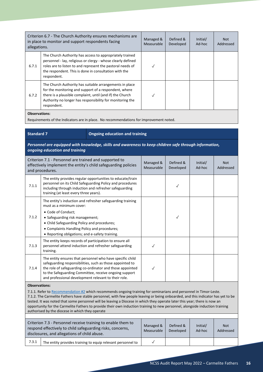| Criterion 6.7 - The Church Authority ensures mechanisms are<br>in place to monitor and support respondents facing<br>allegations. |                                                                                                                                                                                                                                                                | Managed &<br><b>Measurable</b> | Defined &<br>Developed | Initial/<br>Ad-hoc | <b>Not</b><br>Addressed |  |  |  |
|-----------------------------------------------------------------------------------------------------------------------------------|----------------------------------------------------------------------------------------------------------------------------------------------------------------------------------------------------------------------------------------------------------------|--------------------------------|------------------------|--------------------|-------------------------|--|--|--|
| 6.7.1                                                                                                                             | The Church Authority has access to appropriately trained<br>personnel - lay, religious or clergy - whose clearly defined<br>roles are to listen to and represent the pastoral needs of<br>the respondent. This is done in consultation with the<br>respondent. |                                |                        |                    |                         |  |  |  |
| 6.7.2                                                                                                                             | The Church Authority has suitable arrangements in place<br>for the monitoring and support of a respondent, where<br>there is a plausible complaint, until (and if) the Church<br>Authority no longer has responsibility for monitoring the<br>respondent.      |                                |                        |                    |                         |  |  |  |
|                                                                                                                                   | <b>Observations:</b>                                                                                                                                                                                                                                           |                                |                        |                    |                         |  |  |  |

Requirements of the Indicators are in place. No recommendations for improvement noted.

| <b>Standard 7</b> |  |  |
|-------------------|--|--|

#### **Standard 7 Ongoing education and training**

*Personnel are equipped with knowledge, skills and awareness to keep children safe through information, ongoing education and training*

| Criterion 7.1 - Personnel are trained and supported to<br>effectively implement the entity's child safeguarding policies<br>and procedures.                                                                                                                                                                                                                                                                                                                                                                                                                                                   |                                                                                                                                                                                                                                                                                                       | Managed &<br>Measurable | Defined &<br>Developed | Initial/<br>Ad-hoc | <b>Not</b><br>Addressed |
|-----------------------------------------------------------------------------------------------------------------------------------------------------------------------------------------------------------------------------------------------------------------------------------------------------------------------------------------------------------------------------------------------------------------------------------------------------------------------------------------------------------------------------------------------------------------------------------------------|-------------------------------------------------------------------------------------------------------------------------------------------------------------------------------------------------------------------------------------------------------------------------------------------------------|-------------------------|------------------------|--------------------|-------------------------|
| 7.1.1                                                                                                                                                                                                                                                                                                                                                                                                                                                                                                                                                                                         | The entity provides regular opportunities to educate/train<br>personnel on its Child Safeguarding Policy and procedures<br>including through induction and refresher safeguarding<br>training (at least every three years).                                                                           |                         | ✓                      |                    |                         |
| 7.1.2                                                                                                                                                                                                                                                                                                                                                                                                                                                                                                                                                                                         | The entity's induction and refresher safeguarding training<br>must as a minimum cover:<br>• Code of Conduct;<br>• Safeguarding risk management;<br>• Child Safeguarding Policy and procedures;<br>• Complaints Handling Policy and procedures;<br>• Reporting obligations; and e-safety training.     |                         | $\checkmark$           |                    |                         |
| 7.1.3                                                                                                                                                                                                                                                                                                                                                                                                                                                                                                                                                                                         | The entity keeps records of participation to ensure all<br>personnel attend induction and refresher safeguarding<br>training.                                                                                                                                                                         | $\checkmark$            |                        |                    |                         |
| 7.1.4                                                                                                                                                                                                                                                                                                                                                                                                                                                                                                                                                                                         | The entity ensures that personnel who have specific child<br>safeguarding responsibilities, such as those appointed to<br>the role of safeguarding co-ordinator and those appointed<br>to the Safeguarding Committee, receive ongoing support<br>and professional development relevant to their role. | $\checkmark$            |                        |                    |                         |
| <b>Observations:</b><br>7.1.1. Refer to Recommendation #2 which recommends ongoing training for seminarians and personnel in Timor-Leste.<br>7.1.2. The Carmelite Fathers have stable personnel, with few people leaving or being onboarded, and this indicator has yet to be<br>tested. It was noted that some personnel will be leaving a Diocese in which they operate later this year; there is now an<br>opportunity for the Carmelite Fathers to provide their own induction training to new personnel, alongside induction training<br>authorised by the diocese in which they operate |                                                                                                                                                                                                                                                                                                       |                         |                        |                    |                         |

| Criterion 7.3 - Personnel receive training to enable them to<br>respond effectively to child safeguarding risks, concerns,<br>disclosures, and allegations of child abuse. |                                                             | Managed &<br>Measurable | Defined &<br>Developed | Initial/<br>Ad-hoc | <b>Not</b><br>Addressed |
|----------------------------------------------------------------------------------------------------------------------------------------------------------------------------|-------------------------------------------------------------|-------------------------|------------------------|--------------------|-------------------------|
| 7.3.1                                                                                                                                                                      | The entity provides training to equip relevant personnel to |                         |                        |                    |                         |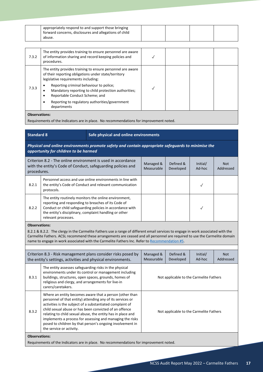|                      | appropriately respond to and support those bringing<br>forward concerns, disclosures and allegations of child                                                                                                                                                                                                                                                   |                         |                        |                    |                         |
|----------------------|-----------------------------------------------------------------------------------------------------------------------------------------------------------------------------------------------------------------------------------------------------------------------------------------------------------------------------------------------------------------|-------------------------|------------------------|--------------------|-------------------------|
|                      | abuse.                                                                                                                                                                                                                                                                                                                                                          |                         |                        |                    |                         |
| 7.3.2                | The entity provides training to ensure personnel are aware<br>of information sharing and record keeping policies and<br>procedures.                                                                                                                                                                                                                             | $\checkmark$            |                        |                    |                         |
|                      | The entity provides training to ensure personnel are aware<br>of their reporting obligations under state/territory<br>legislative requirements including:                                                                                                                                                                                                       |                         |                        |                    |                         |
| 7.3.3                | Reporting criminal behaviour to police;<br>Mandatory reporting to child protection authorities;<br>Reportable Conduct Scheme; and<br>٠                                                                                                                                                                                                                          | ✓                       |                        |                    |                         |
|                      | Reporting to regulatory authorities/government<br>departments                                                                                                                                                                                                                                                                                                   |                         |                        |                    |                         |
| <b>Observations:</b> | Requirements of the Indicators are in place. No recommendations for improvement noted.                                                                                                                                                                                                                                                                          |                         |                        |                    |                         |
|                      |                                                                                                                                                                                                                                                                                                                                                                 |                         |                        |                    |                         |
| <b>Standard 8</b>    | Safe physical and online environments                                                                                                                                                                                                                                                                                                                           |                         |                        |                    |                         |
|                      | Physical and online environments promote safety and contain appropriate safeguards to minimise the<br>opportunity for children to be harmed                                                                                                                                                                                                                     |                         |                        |                    |                         |
| procedures.          | Criterion 8.2 - The online environment is used in accordance<br>with the entity's Code of Conduct, safeguarding policies and                                                                                                                                                                                                                                    | Managed &<br>Measurable | Defined &<br>Developed | Initial/<br>Ad-hoc | <b>Not</b><br>Addressed |
| 8.2.1                | Personnel access and use online environments in line with<br>the entity's Code of Conduct and relevant communication<br>protocols.                                                                                                                                                                                                                              |                         |                        | ✓                  |                         |
| 8.2.2                | The entity routinely monitors the online environment,<br>reporting and responding to breaches of its Code of<br>Conduct or child safeguarding policies in accordance with<br>the entity's disciplinary, complaint handling or other<br>relevant processes.                                                                                                      |                         |                        | ✓                  |                         |
| <b>Observations:</b> | 8.2.1 & 8.2.2. The clergy in the Carmelite Fathers use a range of different email services to engage in work associated with the<br>Carmelite Fathers. ACSL recommend these arrangements are ceased and all personnel are required to use the Carmelite domain<br>name to engage in work associated with the Carmelite Fathers Inc. Refer to Recommendation #5. |                         |                        |                    |                         |

|                      | Criterion 8.3 - Risk management plans consider risks posed by<br>the entity's settings, activities and physical environments.                                                                                                                                                                                                                                                                                                                                     | Managed &<br>Defined &<br>Initial/<br>Measurable<br>Developed<br>Ad-hoc |  | <b>Not</b><br>Addressed |  |
|----------------------|-------------------------------------------------------------------------------------------------------------------------------------------------------------------------------------------------------------------------------------------------------------------------------------------------------------------------------------------------------------------------------------------------------------------------------------------------------------------|-------------------------------------------------------------------------|--|-------------------------|--|
| 8.3.1                | The entity assesses safeguarding risks in the physical<br>environments under its control or management including<br>buildings, structures, open spaces, grounds, homes of<br>religious and clergy, and arrangements for live-in<br>carers/caretakers.                                                                                                                                                                                                             | Not applicable to the Carmelite Fathers                                 |  |                         |  |
| 8.3.2                | Where an entity becomes aware that a person (other than<br>personnel of that entity) attending any of its services or<br>activities is the subject of a substantiated complaint of<br>child sexual abuse or has been convicted of an offence<br>relating to child sexual abuse, the entity has in place and<br>implements a process for assessing and managing the risks<br>posed to children by that person's ongoing involvement in<br>the service or activity. | Not applicable to the Carmelite Fathers                                 |  |                         |  |
| <b>Observations:</b> |                                                                                                                                                                                                                                                                                                                                                                                                                                                                   |                                                                         |  |                         |  |

Requirements of the Indicators are in place. No recommendations for improvement noted.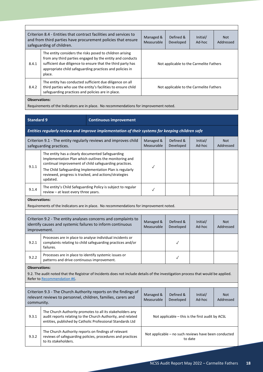| Criterion 8.4 - Entities that contract facilities and services to<br>and from third parties have procurement policies that ensure<br>safeguarding of children. |                                                    |                                                                                                                                                                                                                                                  | Managed &<br><b>Measurable</b>          | Defined &<br>Developed | Initial/<br>Ad-hoc | <b>Not</b><br>Addressed |  |
|----------------------------------------------------------------------------------------------------------------------------------------------------------------|----------------------------------------------------|--------------------------------------------------------------------------------------------------------------------------------------------------------------------------------------------------------------------------------------------------|-----------------------------------------|------------------------|--------------------|-------------------------|--|
| 8.4.1                                                                                                                                                          | place.                                             | The entity considers the risks posed to children arising<br>from any third parties engaged by the entity and conducts<br>sufficient due diligence to ensure that the third party has<br>appropriate child safeguarding practices and policies in | Not applicable to the Carmelite Fathers |                        |                    |                         |  |
| 8.4.2                                                                                                                                                          | safeguarding practices and policies are in place.  | The entity has conducted sufficient due diligence on all<br>third parties who use the entity's facilities to ensure child                                                                                                                        | Not applicable to the Carmelite Fathers |                        |                    |                         |  |
| <b>Observations:</b><br>Requirements of the Indicators are in place. No recommendations for improvement noted.                                                 |                                                    |                                                                                                                                                                                                                                                  |                                         |                        |                    |                         |  |
|                                                                                                                                                                |                                                    |                                                                                                                                                                                                                                                  |                                         |                        |                    |                         |  |
|                                                                                                                                                                | <b>Standard 9</b><br><b>Continuous improvement</b> |                                                                                                                                                                                                                                                  |                                         |                        |                    |                         |  |

*Entities regularly review and improve implementation of their systems for keeping children safe* Criterion 9.1 - The entity regularly reviews and improves child safeguarding practices. Managed & Measurable Defined & Developed Initial/ Ad-hoc Not Addressed 9.1.1 The entity has a clearly documented Safeguarding Implementation Plan which outlines the monitoring and continual improvement of child safeguarding practices. The Child Safeguarding Implementation Plan is regularly reviewed, progress is tracked, and actions/strategies updated. ✓ 9.1.4 The entity's Child Safeguarding Policy is subject to regular review – at least every three years.<br>The entity school of the sears. **Observations:**

Requirements of the Indicators are in place. No recommendations for improvement noted.

| Criterion 9.2 - The entity analyses concerns and complaints to<br>identify causes and systemic failures to inform continuous<br>improvement. |                                                                                                                                      | Managed &<br>Measurable | Defined &<br>Developed | Initial/<br>Ad-hoc | <b>Not</b><br>Addressed |
|----------------------------------------------------------------------------------------------------------------------------------------------|--------------------------------------------------------------------------------------------------------------------------------------|-------------------------|------------------------|--------------------|-------------------------|
| 9.2.1                                                                                                                                        | Processes are in place to analyse individual incidents or<br>complaints relating to child safeguarding practices and/or<br>failures. |                         |                        |                    |                         |
| 9.2.2                                                                                                                                        | Processes are in place to identify systemic issues or<br>patterns and drive continuous improvement.                                  |                         |                        |                    |                         |

**Observations:**

9.2. The audit noted that the Registrar of Incidents does not include details of the investigation process that would be applied. Refer to [Recommendation #6.](#page-23-0)

| community. | Criterion 9.3 - The Church Authority reports on the findings of<br>relevant reviews to personnel, children, families, carers and                                                       | Managed &<br>Measurable                                         | Defined &<br>Developed | Initial/<br>Ad-hoc | <b>Not</b><br>Addressed |
|------------|----------------------------------------------------------------------------------------------------------------------------------------------------------------------------------------|-----------------------------------------------------------------|------------------------|--------------------|-------------------------|
| 9.3.1      | The Church Authority promotes to all its stakeholders any<br>audit reports relating to the Church Authority, and related<br>entities, published by Catholic Professional Standards Ltd | Not applicable $-$ this is the first audit by ACSL              |                        |                    |                         |
| 9.3.2      | The Church Authority reports on findings of relevant<br>reviews of safeguarding policies, procedures and practices<br>to its stakeholders.                                             | Not applicable – no such reviews have been conducted<br>to date |                        |                    |                         |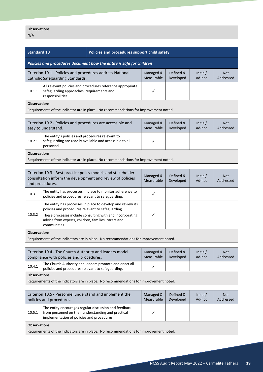| <b>Observations:</b><br>N/A                                                                                                                                    |                                                                                                                           |                                                                                                                          |                         |                        |                         |                         |
|----------------------------------------------------------------------------------------------------------------------------------------------------------------|---------------------------------------------------------------------------------------------------------------------------|--------------------------------------------------------------------------------------------------------------------------|-------------------------|------------------------|-------------------------|-------------------------|
|                                                                                                                                                                |                                                                                                                           |                                                                                                                          |                         |                        |                         |                         |
| <b>Standard 10</b>                                                                                                                                             |                                                                                                                           | Policies and procedures support child safety                                                                             |                         |                        |                         |                         |
|                                                                                                                                                                |                                                                                                                           | Policies and procedures document how the entity is safe for children                                                     |                         |                        |                         |                         |
|                                                                                                                                                                | Criterion 10.1 - Policies and procedures address National<br>Catholic Safeguarding Standards.                             |                                                                                                                          | Managed &<br>Measurable | Defined &<br>Developed | Initial/<br>Ad-hoc      | <b>Not</b><br>Addressed |
| 10.1.1                                                                                                                                                         | safeguarding approaches, requirements and<br>responsibilities.                                                            | All relevant policies and procedures reference appropriate                                                               | $\checkmark$            |                        |                         |                         |
| <b>Observations:</b>                                                                                                                                           |                                                                                                                           | Requirements of the Indicator are in place. No recommendations for improvement noted.                                    |                         |                        |                         |                         |
| Criterion 10.2 - Policies and procedures are accessible and<br>Defined &<br>Managed &<br>Initial/<br>Measurable<br>Ad-hoc<br>Developed<br>easy to understand.  |                                                                                                                           |                                                                                                                          |                         |                        | <b>Not</b><br>Addressed |                         |
| 10.2.1                                                                                                                                                         | The entity's policies and procedures relevant to<br>safeguarding are readily available and accessible to all<br>personnel |                                                                                                                          | $\checkmark$            |                        |                         |                         |
| <b>Observations:</b>                                                                                                                                           |                                                                                                                           | Requirements of the Indicator are in place. No recommendations for improvement noted.                                    |                         |                        |                         |                         |
| Criterion 10.3 - Best practice policy models and stakeholder<br>consultation inform the development and review of policies<br>and procedures.                  |                                                                                                                           |                                                                                                                          | Managed &<br>Measurable | Defined &<br>Developed | Initial/<br>Ad-hoc      | <b>Not</b><br>Addressed |
| 10.3.1                                                                                                                                                         | policies and procedures relevant to safeguarding.                                                                         | The entity has processes in place to monitor adherence to                                                                | $\checkmark$            |                        |                         |                         |
| 10.3.2                                                                                                                                                         | policies and procedures relevant to safeguarding.<br>advice from experts, children, families, carers and<br>communities.  | The entity has processes in place to develop and review its<br>These processes include consulting with and incorporating | $\checkmark$            |                        |                         |                         |
| <b>Observations:</b>                                                                                                                                           |                                                                                                                           | Requirements of the Indicators are in place. No recommendations for improvement noted.                                   |                         |                        |                         |                         |
|                                                                                                                                                                | Criterion 10.4 - The Church Authority and leaders model<br>compliance with policies and procedures.                       |                                                                                                                          | Managed &<br>Measurable | Defined &<br>Developed | Initial/<br>Ad-hoc      | <b>Not</b><br>Addressed |
| 10.4.1                                                                                                                                                         | policies and procedures relevant to safeguarding.                                                                         | The Church Authority and leaders promote and enact all                                                                   | $\checkmark$            |                        |                         |                         |
| <b>Observations:</b><br>Requirements of the Indicators are in place. No recommendations for improvement noted.                                                 |                                                                                                                           |                                                                                                                          |                         |                        |                         |                         |
| Criterion 10.5 - Personnel understand and implement the<br>Defined &<br>Managed &<br>Initial/<br>Measurable<br>Developed<br>Ad-hoc<br>policies and procedures. |                                                                                                                           |                                                                                                                          | <b>Not</b><br>Addressed |                        |                         |                         |
| 10.5.1                                                                                                                                                         | from personnel on their understanding and practical<br>implementation of policies and procedures.                         | The entity encourages regular discussion and feedback                                                                    | $\checkmark$            |                        |                         |                         |
| <b>Observations:</b>                                                                                                                                           |                                                                                                                           | Requirements of the Indicators are in place. No recommendations for improvement noted.                                   |                         |                        |                         |                         |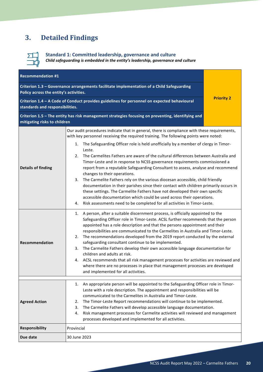## <span id="page-19-0"></span>**3. Detailed Findings**



**Standard 1: Committed leadership, governance and culture**

*Child safeguarding is embedded in the entity's leadership, governance and culture*

<span id="page-19-1"></span>

| <b>Recommendation #1</b>                                                                                                       |                                                                                                                                                                                                                                                                                                                                                                                                                                                                                                                                                                                                                                                                                                                                                                                                                                    |  |  |  |
|--------------------------------------------------------------------------------------------------------------------------------|------------------------------------------------------------------------------------------------------------------------------------------------------------------------------------------------------------------------------------------------------------------------------------------------------------------------------------------------------------------------------------------------------------------------------------------------------------------------------------------------------------------------------------------------------------------------------------------------------------------------------------------------------------------------------------------------------------------------------------------------------------------------------------------------------------------------------------|--|--|--|
| Policy across the entity's activities.                                                                                         | Criterion 1.3 - Governance arrangements facilitate implementation of a Child Safeguarding                                                                                                                                                                                                                                                                                                                                                                                                                                                                                                                                                                                                                                                                                                                                          |  |  |  |
| Criterion 1.4 - A Code of Conduct provides guidelines for personnel on expected behavioural<br>standards and responsibilities. | <b>Priority 2</b>                                                                                                                                                                                                                                                                                                                                                                                                                                                                                                                                                                                                                                                                                                                                                                                                                  |  |  |  |
| mitigating risks to children                                                                                                   | Criterion 1.5 - The entity has risk management strategies focusing on preventing, identifying and                                                                                                                                                                                                                                                                                                                                                                                                                                                                                                                                                                                                                                                                                                                                  |  |  |  |
|                                                                                                                                | Our audit procedures indicate that in general, there is compliance with these requirements,<br>with key personnel receiving the required training. The following points were noted:<br>1. The Safeguarding Officer role is held unofficially by a member of clergy in Timor-<br>Leste.                                                                                                                                                                                                                                                                                                                                                                                                                                                                                                                                             |  |  |  |
| <b>Details of finding</b>                                                                                                      | The Carmelites Fathers are aware of the cultural differences between Australia and<br>2.<br>Timor-Leste and in response to NCSS governance requirements commissioned a<br>report from a reputable Safeguarding Consultant to assess, analyse and recommend<br>changes to their operations.<br>3. The Carmelite Fathers rely on the various diocesan accessible, child friendly<br>documentation in their parishes since their contact with children primarily occurs in<br>these settings. The Carmelite Fathers have not developed their own specific<br>accessible documentation which could be used across their operations.<br>Risk assessments need to be completed for all activities in Timor-Leste.<br>4.                                                                                                                  |  |  |  |
| Recommendation                                                                                                                 | A person, after a suitable discernment process, is officially appointed to the<br>1.<br>Safeguarding Officer role in Timor-Leste. ACSL further recommends that the person<br>appointed has a role description and that the persons appointment and their<br>responsibilities are communicated to the Carmelites in Australia and Timor-Leste.<br>The recommendations developed from the 2019 report conducted by the external<br>2.<br>safeguarding consultant continue to be implemented.<br>The Carmelite Fathers develop their own accessible language documentation for<br>3.<br>children and adults at risk.<br>4. ACSL recommends that all risk management processes for activities are reviewed and<br>where there are no processes in place that management processes are developed<br>and implemented for all activities. |  |  |  |
| <b>Agreed Action</b>                                                                                                           | 1. An appropriate person will be appointed to the Safeguarding Officer role in Timor-<br>Leste with a role description. The appointment and responsibilities will be<br>communicated to the Carmelites in Australia and Timor-Leste.<br>The Timor-Leste Report recommendations will continue to be implemented.<br>2.<br>The Carmelite Fathers will develop accessible language documentation.<br>3.<br>Risk management processes for Carmelite activities will reviewed and management<br>4.<br>processes developed and implemented for all activities.                                                                                                                                                                                                                                                                           |  |  |  |
| <b>Responsibility</b>                                                                                                          | Provincial                                                                                                                                                                                                                                                                                                                                                                                                                                                                                                                                                                                                                                                                                                                                                                                                                         |  |  |  |
| Due date                                                                                                                       | 30 June 2023                                                                                                                                                                                                                                                                                                                                                                                                                                                                                                                                                                                                                                                                                                                                                                                                                       |  |  |  |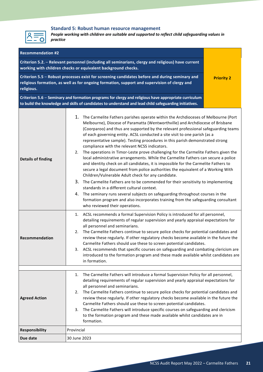

#### **Standard 5: Robust human resource management**

*People working with children are suitable and supported to reflect child safeguarding values in practice*

<span id="page-20-0"></span>

| <b>Recommendation #2</b>                                                                                                                                                                                     |                                                                                                                                                                                                                                                                                                                                                                                                                                                                                                                                                                                                                                                                                                                                                                                                                                                                                                                                                                                                                                                                                                                                                                                                         |  |  |  |  |  |  |
|--------------------------------------------------------------------------------------------------------------------------------------------------------------------------------------------------------------|---------------------------------------------------------------------------------------------------------------------------------------------------------------------------------------------------------------------------------------------------------------------------------------------------------------------------------------------------------------------------------------------------------------------------------------------------------------------------------------------------------------------------------------------------------------------------------------------------------------------------------------------------------------------------------------------------------------------------------------------------------------------------------------------------------------------------------------------------------------------------------------------------------------------------------------------------------------------------------------------------------------------------------------------------------------------------------------------------------------------------------------------------------------------------------------------------------|--|--|--|--|--|--|
|                                                                                                                                                                                                              | Criterion 5.2. - Relevant personnel (including all seminarians, clergy and religious) have current<br>working with children checks or equivalent background checks.                                                                                                                                                                                                                                                                                                                                                                                                                                                                                                                                                                                                                                                                                                                                                                                                                                                                                                                                                                                                                                     |  |  |  |  |  |  |
| Criterion 5.5 - Robust processes exist for screening candidates before and during seminary and<br>religious formation, as well as for ongoing formation, support and supervision of clergy and<br>religious. | <b>Priority 2</b>                                                                                                                                                                                                                                                                                                                                                                                                                                                                                                                                                                                                                                                                                                                                                                                                                                                                                                                                                                                                                                                                                                                                                                                       |  |  |  |  |  |  |
|                                                                                                                                                                                                              | Criterion 5.6 - Seminary and formation programs for clergy and religious have appropriate curriculum<br>to build the knowledge and skills of candidates to understand and lead child safeguarding initiatives.                                                                                                                                                                                                                                                                                                                                                                                                                                                                                                                                                                                                                                                                                                                                                                                                                                                                                                                                                                                          |  |  |  |  |  |  |
| <b>Details of finding</b>                                                                                                                                                                                    | 1. The Carmelite Fathers parishes operate within the Archdioceses of Melbourne (Port<br>Melbourne), Diocese of Paramatta (Wentworthville) and Archdiocese of Brisbane<br>(Coorparoo) and thus are supported by the relevant professional safeguarding teams<br>of each governing entity. ACSL conducted a site visit to one parish (as a<br>representative sample). Testing procedures in this parish demonstrated strong<br>compliance with the relevant NCSS indicators.<br>2. The operations in Timor-Leste prove challenging for the Carmelite Fathers given the<br>local administrative arrangements. While the Carmelite Fathers can secure a police<br>and identity check on all candidates, it is impossible for the Carmelite Fathers to<br>secure a legal document from police authorities the equivalent of a Working With<br>Children/Vulnerable Adult check for any candidate.<br>3. The Carmelite Fathers are to be commended for their sensitivity to implementing<br>standards in a different cultural context.<br>4. The seminary runs several subjects on safeguarding throughout courses in the<br>formation program and also incorporates training from the safeguarding consultant |  |  |  |  |  |  |
| Recommendation                                                                                                                                                                                               | 1. ACSL recommends a formal Supervision Policy is introduced for all personnel,<br>detailing requirements of regular supervision and yearly appraisal expectations for<br>all personnel and seminarians.<br>The Carmelite Fathers continue to secure police checks for potential candidates and<br>2.<br>review these regularly. If other regulatory checks become available in the future the<br>Carmelite Fathers should use these to screen potential candidates.<br>3. ACSL recommends that specific courses on safeguarding and combating clericism are<br>introduced to the formation program and these made available whilst candidates are<br>in formation.                                                                                                                                                                                                                                                                                                                                                                                                                                                                                                                                     |  |  |  |  |  |  |
|                                                                                                                                                                                                              | The Carmelite Fathers will introduce a formal Supervision Policy for all personnel,<br>1.                                                                                                                                                                                                                                                                                                                                                                                                                                                                                                                                                                                                                                                                                                                                                                                                                                                                                                                                                                                                                                                                                                               |  |  |  |  |  |  |
| <b>Agreed Action</b>                                                                                                                                                                                         | detailing requirements of regular supervision and yearly appraisal expectations for<br>all personnel and seminarians.<br>The Carmelite Fathers continue to secure police checks for potential candidates and<br>2.<br>review these regularly. If other regulatory checks become available in the future the<br>Carmelite Fathers should use these to screen potential candidates.<br>The Carmelite Fathers will introduce specific courses on safeguarding and clericism<br>3.<br>to the formation program and these made available whilst candidates are in<br>formation.                                                                                                                                                                                                                                                                                                                                                                                                                                                                                                                                                                                                                              |  |  |  |  |  |  |
| Responsibility                                                                                                                                                                                               | Provincial                                                                                                                                                                                                                                                                                                                                                                                                                                                                                                                                                                                                                                                                                                                                                                                                                                                                                                                                                                                                                                                                                                                                                                                              |  |  |  |  |  |  |
| Due date                                                                                                                                                                                                     | 30 June 2023                                                                                                                                                                                                                                                                                                                                                                                                                                                                                                                                                                                                                                                                                                                                                                                                                                                                                                                                                                                                                                                                                                                                                                                            |  |  |  |  |  |  |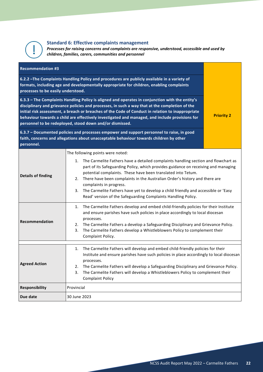

#### **Standard 6: Effective complaints management**

*Processes for raising concerns and complaints are responsive, understood, accessible and used by children, families, carers, communities and personnel*

<span id="page-21-0"></span>

| <b>Recommendation #3</b>                                                                                                                                                                                                                                                                                                                                                                                                                                             |                                                                                                                                                                                                                                                                                                                                                                                                                                                                                                                                                             |  |  |  |
|----------------------------------------------------------------------------------------------------------------------------------------------------------------------------------------------------------------------------------------------------------------------------------------------------------------------------------------------------------------------------------------------------------------------------------------------------------------------|-------------------------------------------------------------------------------------------------------------------------------------------------------------------------------------------------------------------------------------------------------------------------------------------------------------------------------------------------------------------------------------------------------------------------------------------------------------------------------------------------------------------------------------------------------------|--|--|--|
| 6.2.2 - The Complaints Handling Policy and procedures are publicly available in a variety of<br>formats, including age and developmentally appropriate for children, enabling complaints<br>processes to be easily understood.                                                                                                                                                                                                                                       |                                                                                                                                                                                                                                                                                                                                                                                                                                                                                                                                                             |  |  |  |
| 6.3.3 - The Complaints Handling Policy is aligned and operates in conjunction with the entity's<br>disciplinary and grievance policies and processes, in such a way that at the completion of the<br>initial risk assessment, a breach or breaches of the Code of Conduct in relation to inappropriate<br>behaviour towards a child are effectively investigated and managed, and include provisions for<br>personnel to be redeployed, stood down and/or dismissed. | <b>Priority 2</b>                                                                                                                                                                                                                                                                                                                                                                                                                                                                                                                                           |  |  |  |
| personnel.                                                                                                                                                                                                                                                                                                                                                                                                                                                           | 6.3.7 - Documented policies and processes empower and support personnel to raise, in good<br>faith, concerns and allegations about unacceptable behaviour towards children by other                                                                                                                                                                                                                                                                                                                                                                         |  |  |  |
| <b>Details of finding</b>                                                                                                                                                                                                                                                                                                                                                                                                                                            | The following points were noted:<br>The Carmelite Fathers have a detailed complaints handling section and flowchart as<br>1.<br>part of its Safeguarding Policy, which provides guidance on receiving and managing<br>potential complaints. These have been translated into Tetum.<br>2. There have been complaints in the Australian Order's history and there are<br>complaints in progress.<br>The Carmelite Fathers have yet to develop a child friendly and accessible or 'Easy<br>3.<br>Read' version of the Safeguarding Complaints Handling Policy. |  |  |  |
| <b>Recommendation</b>                                                                                                                                                                                                                                                                                                                                                                                                                                                | The Carmelite Fathers develop and embed child-friendly policies for their Institute<br>1.<br>and ensure parishes have such policies in place accordingly to local diocesan<br>processes.<br>2. The Carmelite Fathers a develop a Safeguarding Disciplinary and Grievance Policy.<br>The Carmelite Fathers develop a Whistleblowers Policy to complement their<br>3.<br>Complaint Policy.                                                                                                                                                                    |  |  |  |
| The Carmelite Fathers will develop and embed child-friendly policies for their<br>1.<br>Institute and ensure parishes have such policies in place accordingly to local diocesan<br>processes.<br><b>Agreed Action</b><br>The Carmelite Fathers will develop a Safeguarding Disciplinary and Grievance Policy.<br>2.<br>The Carmelite Fathers will develop a Whistleblowers Policy to complement their<br>3.<br><b>Complaint Policy</b>                               |                                                                                                                                                                                                                                                                                                                                                                                                                                                                                                                                                             |  |  |  |
| <b>Responsibility</b>                                                                                                                                                                                                                                                                                                                                                                                                                                                | Provincial                                                                                                                                                                                                                                                                                                                                                                                                                                                                                                                                                  |  |  |  |
| Due date                                                                                                                                                                                                                                                                                                                                                                                                                                                             | 30 June 2023                                                                                                                                                                                                                                                                                                                                                                                                                                                                                                                                                |  |  |  |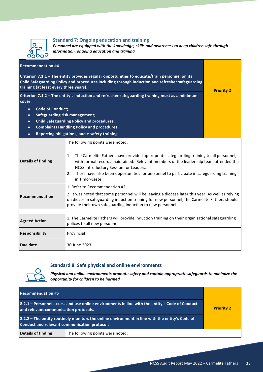

#### **Standard 7: Ongoing education and training**

*Personnel are equipped with the knowledge, skills and awareness to keep children safe through information, ongoing education and training*

| <b>Recommendation #4</b>                                                                                                                                                                                                                   |                                                                                                                                                                                                                                                                                                                                                                                          |  |  |
|--------------------------------------------------------------------------------------------------------------------------------------------------------------------------------------------------------------------------------------------|------------------------------------------------------------------------------------------------------------------------------------------------------------------------------------------------------------------------------------------------------------------------------------------------------------------------------------------------------------------------------------------|--|--|
| Criterion 7.1.1 - The entity provides regular opportunities to educate/train personnel on its<br>Child Safeguarding Policy and procedures including through induction and refresher safeguarding<br>training (at least every three years). | <b>Priority 2</b>                                                                                                                                                                                                                                                                                                                                                                        |  |  |
| Criterion 7.1.2 - The entity's induction and refresher safeguarding training must as a minimum<br>cover:                                                                                                                                   |                                                                                                                                                                                                                                                                                                                                                                                          |  |  |
| <b>Code of Conduct;</b><br>$\bullet$                                                                                                                                                                                                       |                                                                                                                                                                                                                                                                                                                                                                                          |  |  |
| <b>Safeguarding risk management;</b><br>$\bullet$                                                                                                                                                                                          |                                                                                                                                                                                                                                                                                                                                                                                          |  |  |
| $\bullet$                                                                                                                                                                                                                                  | <b>Child Safeguarding Policy and procedures;</b>                                                                                                                                                                                                                                                                                                                                         |  |  |
| $\bullet$                                                                                                                                                                                                                                  | <b>Complaints Handling Policy and procedures;</b>                                                                                                                                                                                                                                                                                                                                        |  |  |
| $\bullet$                                                                                                                                                                                                                                  | Reporting obligations; and e-safety training.                                                                                                                                                                                                                                                                                                                                            |  |  |
| <b>Details of finding</b>                                                                                                                                                                                                                  | The following points were noted:<br>The Carmelite Fathers have provided appropriate safeguarding training to all personnel,<br>1.<br>with formal records maintained. Relevant members of the leadership team attended the<br>NCSS Introductory Session for Leaders.<br>There have also been opportunities for personnel to participate in safeguarding training<br>2.<br>in Timor-Leste. |  |  |
|                                                                                                                                                                                                                                            | 1. Refer to Recommendation #2                                                                                                                                                                                                                                                                                                                                                            |  |  |
| Recommendation                                                                                                                                                                                                                             | 2. It was noted that some personnel will be leaving a diocese later this year. As well as relying<br>on diocesan safeguarding induction training for new personnel, the Carmelite Fathers should<br>provide their own safeguarding induction to new personnel.                                                                                                                           |  |  |
|                                                                                                                                                                                                                                            |                                                                                                                                                                                                                                                                                                                                                                                          |  |  |
| <b>Agreed Action</b>                                                                                                                                                                                                                       | 1. The Carmelite Fathers will provide induction training on their organisational safeguarding<br>polices to all new personnel.                                                                                                                                                                                                                                                           |  |  |
| <b>Responsibility</b>                                                                                                                                                                                                                      | Provincial                                                                                                                                                                                                                                                                                                                                                                               |  |  |
| Due date                                                                                                                                                                                                                                   | 30 June 2023                                                                                                                                                                                                                                                                                                                                                                             |  |  |

#### **Standard 8: Safe physical and online environments**



*Physical and online environments promote safety and contain appropriate safeguards to minimize the opportunity for children to be harmed*

<span id="page-22-0"></span>

| <b>Recommendation #5</b>                                                                                                                        |                                  |                   |
|-------------------------------------------------------------------------------------------------------------------------------------------------|----------------------------------|-------------------|
| 8.2.1 – Personnel access and use online environments in line with the entity's Code of Conduct<br>and relevant communication protocols.         |                                  | <b>Priority 2</b> |
| 8.2.2 – The entity routinely monitors the online environment in line with the entity's Code of<br>Conduct and relevant communication protocols. |                                  |                   |
| Details of finding                                                                                                                              | The following points were noted: |                   |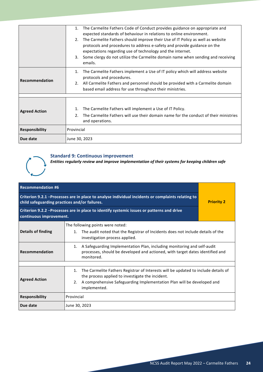|                       | The Carmelite Fathers Code of Conduct provides guidance on appropriate and<br>1.<br>expected standards of behaviour in relations to online environment.<br>The Carmelite Fathers should improve their Use of IT Policy as well as website<br>2.<br>protocols and procedures to address e-safety and provide guidance on the<br>expectations regarding use of technology and the internet.<br>Some clergy do not utilize the Carmelite domain name when sending and receiving<br>3. |
|-----------------------|------------------------------------------------------------------------------------------------------------------------------------------------------------------------------------------------------------------------------------------------------------------------------------------------------------------------------------------------------------------------------------------------------------------------------------------------------------------------------------|
|                       | emails.                                                                                                                                                                                                                                                                                                                                                                                                                                                                            |
| l Recommendation      | The Carmelite Fathers implement a Use of IT policy which will address website<br>1.<br>protocols and procedures.<br>2. All Carmelite Fathers and personnel should be provided with a Carmelite domain<br>based email address for use throughout their ministries.                                                                                                                                                                                                                  |
|                       |                                                                                                                                                                                                                                                                                                                                                                                                                                                                                    |
| <b>Agreed Action</b>  | The Carmelite Fathers will implement a Use of IT Policy.<br>1.<br>The Carmelite Fathers will use their domain name for the conduct of their ministries<br>2.<br>and operations.                                                                                                                                                                                                                                                                                                    |
| <b>Responsibility</b> | Provincial                                                                                                                                                                                                                                                                                                                                                                                                                                                                         |
| Due date              | June 30, 2023                                                                                                                                                                                                                                                                                                                                                                                                                                                                      |

#### **Standard 9: Continuous improvement**

*Entities regularly review and improve implementation of their systems for keeping children safe*

<span id="page-23-0"></span>

| <b>Recommendation #6</b>                                                                                                                           |                                                                                                                                                                                                                                              |  |
|----------------------------------------------------------------------------------------------------------------------------------------------------|----------------------------------------------------------------------------------------------------------------------------------------------------------------------------------------------------------------------------------------------|--|
| Criterion 9.2.1 -Processes are in place to analyse individual incidents or complaints relating to<br>child safeguarding practices and/or failures. | <b>Priority 2</b>                                                                                                                                                                                                                            |  |
| Criterion 9.2.2 - Processes are in place to identify systemic issues or patterns and drive<br>continuous improvement.                              |                                                                                                                                                                                                                                              |  |
| Details of finding                                                                                                                                 | The following points were noted:<br>The audit noted that the Registrar of Incidents does not include details of the<br>1.<br>investigation process applied.                                                                                  |  |
| <b>Recommendation</b>                                                                                                                              | A Safeguarding Implementation Plan, including monitoring and self-audit<br>1.<br>processes, should be developed and actioned, with target dates identified and<br>monitored.                                                                 |  |
|                                                                                                                                                    |                                                                                                                                                                                                                                              |  |
| <b>Agreed Action</b>                                                                                                                               | The Carmelite Fathers Registrar of Interests will be updated to include details of<br>1.<br>the process applied to investigate the incident.<br>A comprehensive Safeguarding Implementation Plan will be developed and<br>2.<br>implemented. |  |
| <b>Responsibility</b>                                                                                                                              | Provincial                                                                                                                                                                                                                                   |  |
| Due date                                                                                                                                           | June 30, 2023                                                                                                                                                                                                                                |  |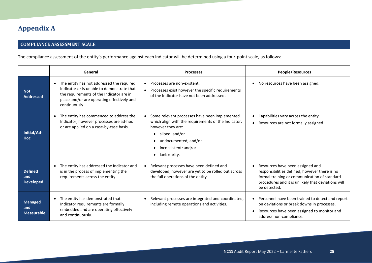### **Appendix A**

#### **COMPLIANCE ASSESSMENT SCALE**

The compliance assessment of the entity's performance against each indicator will be determined using a four-point scale, as follows:

<span id="page-24-0"></span>

|                                            | General                                                                                                                                                                                                         | <b>Processes</b>                                                                                                                                                                                                          | People/Resources                                                                                                                                                                                        |
|--------------------------------------------|-----------------------------------------------------------------------------------------------------------------------------------------------------------------------------------------------------------------|---------------------------------------------------------------------------------------------------------------------------------------------------------------------------------------------------------------------------|---------------------------------------------------------------------------------------------------------------------------------------------------------------------------------------------------------|
| <b>Not</b><br><b>Addressed</b>             | The entity has not addressed the required<br>$\bullet$<br>Indicator or is unable to demonstrate that<br>the requirements of the Indicator are in<br>place and/or are operating effectively and<br>continuously. | Processes are non-existent.<br>$\bullet$<br>Processes exist however the specific requirements<br>$\bullet$<br>of the Indicator have not been addressed.                                                                   | No resources have been assigned.<br>$\bullet$                                                                                                                                                           |
| Initial/Ad-<br><b>Hoc</b>                  | The entity has commenced to address the<br>$\bullet$<br>Indicator, however processes are ad-hoc<br>or are applied on a case-by-case basis.                                                                      | Some relevant processes have been implemented<br>which align with the requirements of the Indicator,<br>however they are:<br>siloed; and/or<br>undocumented; and/or<br>inconsistent; and/or<br>lack clarity.<br>$\bullet$ | Capabilities vary across the entity.<br>$\bullet$<br>Resources are not formally assigned.<br>$\bullet$                                                                                                  |
| <b>Defined</b><br>and<br><b>Developed</b>  | The entity has addressed the Indicator and<br>is in the process of implementing the<br>requirements across the entity.                                                                                          | Relevant processes have been defined and<br>$\bullet$<br>developed, however are yet to be rolled out across<br>the full operations of the entity.                                                                         | Resources have been assigned and<br>responsibilities defined, however there is no<br>formal training or communication of standard<br>procedures and it is unlikely that deviations will<br>be detected. |
| <b>Managed</b><br>and<br><b>Measurable</b> | The entity has demonstrated that<br>$\bullet$<br>Indicator requirements are formally<br>embedded and are operating effectively<br>and continuously.                                                             | Relevant processes are integrated and coordinated,<br>including remote operations and activities.                                                                                                                         | Personnel have been trained to detect and report<br>on deviations or break downs in processes.<br>Resources have been assigned to monitor and<br>address non-compliance.                                |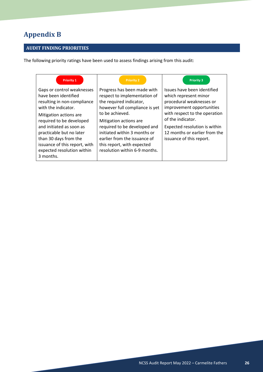## <span id="page-25-0"></span>**Appendix B**

#### **AUDIT FINDING PRIORITIES**

The following priority ratings have been used to assess findings arising from this audit:

| <b>Priority 1</b>                                                                                                                                                                                                                                                                                                            | <b>Priority 2</b>                                                                                                                                                                                                                                                                                                                    | <b>Priority 3</b>                                                                                                                                                                                                                                                 |
|------------------------------------------------------------------------------------------------------------------------------------------------------------------------------------------------------------------------------------------------------------------------------------------------------------------------------|--------------------------------------------------------------------------------------------------------------------------------------------------------------------------------------------------------------------------------------------------------------------------------------------------------------------------------------|-------------------------------------------------------------------------------------------------------------------------------------------------------------------------------------------------------------------------------------------------------------------|
| Gaps or control weaknesses<br>have been identified<br>resulting in non-compliance<br>with the indicator.<br>Mitigation actions are.<br>required to be developed<br>and initiated as soon as<br>practicable but no later<br>than 30 days from the<br>issuance of this report, with<br>expected resolution within<br>3 months. | Progress has been made with<br>respect to implementation of<br>the required indicator,<br>however full compliance is yet<br>to be achieved.<br>Mitigation actions are<br>required to be developed and<br>initiated within 3 months or<br>earlier from the issuance of<br>this report, with expected<br>resolution within 6-9 months. | Issues have been identified<br>which represent minor<br>procedural weaknesses or<br>improvement opportunities<br>with respect to the operation<br>of the indicator.<br>Expected resolution is within<br>12 months or earlier from the<br>issuance of this report. |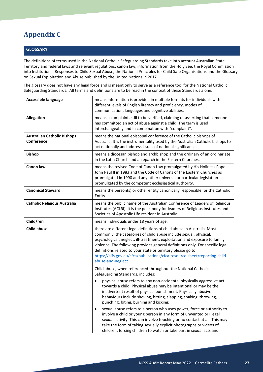## <span id="page-26-0"></span>**Appendix C**

#### **GLOSSARY**

The definitions of terms used in the National Catholic Safeguarding Standards take into account Australian State, Territory and federal laws and relevant regulations, canon law, information from the Holy See, the Royal Commission into Institutional Responses to Child Sexual Abuse, the National Principles for Child Safe Organisations and the Glossary on Sexual Exploitation and Abuse published by the United Nations in 2017.

The glossary does not have any legal force and is meant only to serve as a reference tool for the National Catholic Safeguarding Standards. All terms and definitions are to be read in the context of these Standards alone.

| <b>Accessible language</b>                       | means information is provided in multiple formats for individuals with<br>different levels of English literacy and proficiency, modes of<br>communication, languages and cognitive abilities.                                                                                                                                                                                                                                                                                  |
|--------------------------------------------------|--------------------------------------------------------------------------------------------------------------------------------------------------------------------------------------------------------------------------------------------------------------------------------------------------------------------------------------------------------------------------------------------------------------------------------------------------------------------------------|
| <b>Allegation</b>                                | means a complaint, still to be verified, claiming or asserting that someone<br>has committed an act of abuse against a child. The term is used<br>interchangeably and in combination with "complaint".                                                                                                                                                                                                                                                                         |
| <b>Australian Catholic Bishops</b><br>Conference | means the national episcopal conference of the Catholic bishops of<br>Australia. It is the instrumentality used by the Australian Catholic bishops to<br>act nationally and address issues of national significance.                                                                                                                                                                                                                                                           |
| <b>Bishop</b>                                    | means a diocesan bishop and archbishop and the ordinary of an ordinariate<br>in the Latin Church and an eparch in the Eastern Churches.                                                                                                                                                                                                                                                                                                                                        |
| <b>Canon law</b>                                 | means the revised Code of Canon Law promulgated by His Holiness Pope<br>John Paul II in 1983 and the Code of Canons of the Eastern Churches as<br>promulgated in 1990 and any other universal or particular legislation<br>promulgated by the competent ecclesiastical authority.                                                                                                                                                                                              |
| <b>Canonical Steward</b>                         | means the person(s) or other entity canonically responsible for the Catholic<br>Entity.                                                                                                                                                                                                                                                                                                                                                                                        |
| <b>Catholic Religious Australia</b>              | means the public name of the Australian Conference of Leaders of Religious<br>Institutes (ACLRI). It is the peak body for leaders of Religious Institutes and<br>Societies of Apostolic Life resident in Australia.                                                                                                                                                                                                                                                            |
| Child/ren                                        | means individuals under 18 years of age.                                                                                                                                                                                                                                                                                                                                                                                                                                       |
| <b>Child abuse</b>                               | there are different legal definitions of child abuse in Australia. Most<br>commonly, the categories of child abuse include sexual, physical,<br>psychological, neglect, ill-treatment, exploitation and exposure to family<br>violence. The following provides general definitions only. For specific legal<br>definitions related to your state or territory please go to:<br>https://aifs.gov.au/cfca/publications/cfca-resource-sheet/reporting-child-<br>abuse-and-neglect |
|                                                  | Child abuse, when referenced throughout the National Catholic<br>Safeguarding Standards, includes:                                                                                                                                                                                                                                                                                                                                                                             |
|                                                  | physical abuse refers to any non-accidental physically aggressive act<br>$\bullet$<br>towards a child. Physical abuse may be intentional or may be the<br>inadvertent result of physical punishment. Physically abusive<br>behaviours include shoving, hitting, slapping, shaking, throwing,<br>punching, biting, burning and kicking;                                                                                                                                         |
|                                                  | sexual abuse refers to a person who uses power, force or authority to<br>$\bullet$<br>involve a child or young person in any form of unwanted or illegal<br>sexual activity. This can involve touching or no contact at all. This may<br>take the form of taking sexually explicit photographs or videos of<br>children, forcing children to watch or take part in sexual acts and                                                                                             |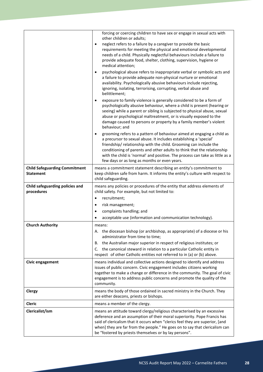|                                                          | forcing or coercing children to have sex or engage in sexual acts with<br>other children or adults;<br>neglect refers to a failure by a caregiver to provide the basic<br>$\bullet$<br>requirements for meeting the physical and emotional developmental<br>needs of a child. Physically neglectful behaviours include a failure to<br>provide adequate food, shelter, clothing, supervision, hygiene or<br>medical attention;<br>psychological abuse refers to inappropriate verbal or symbolic acts and<br>a failure to provide adequate non-physical nurture or emotional<br>availability. Psychologically abusive behaviours include rejecting,<br>ignoring, isolating, terrorising, corrupting, verbal abuse and<br>belittlement;<br>exposure to family violence is generally considered to be a form of<br>$\bullet$ |
|----------------------------------------------------------|----------------------------------------------------------------------------------------------------------------------------------------------------------------------------------------------------------------------------------------------------------------------------------------------------------------------------------------------------------------------------------------------------------------------------------------------------------------------------------------------------------------------------------------------------------------------------------------------------------------------------------------------------------------------------------------------------------------------------------------------------------------------------------------------------------------------------|
|                                                          | psychologically abusive behaviour, where a child is present (hearing or<br>seeing) while a parent or sibling is subjected to physical abuse, sexual<br>abuse or psychological maltreatment, or is visually exposed to the<br>damage caused to persons or property by a family member's violent<br>behaviour; and                                                                                                                                                                                                                                                                                                                                                                                                                                                                                                           |
|                                                          | grooming refers to a pattern of behaviour aimed at engaging a child as<br>$\bullet$<br>a precursor to sexual abuse. It includes establishing a 'special'<br>friendship/relationship with the child. Grooming can include the<br>conditioning of parents and other adults to think that the relationship<br>with the child is 'normal' and positive. The process can take as little as a<br>few days or as long as months or even years.                                                                                                                                                                                                                                                                                                                                                                                    |
| <b>Child Safeguarding Commitment</b><br><b>Statement</b> | means a commitment statement describing an entity's commitment to<br>keep children safe from harm. It informs the entity's culture with respect to<br>child safeguarding.                                                                                                                                                                                                                                                                                                                                                                                                                                                                                                                                                                                                                                                  |
| Child safeguarding policies and<br>procedures            | means any policies or procedures of the entity that address elements of<br>child safety. For example, but not limited to:<br>recruitment;<br>$\bullet$<br>risk management;<br>$\bullet$<br>complaints handling; and<br>$\bullet$<br>acceptable use (information and communication technology).                                                                                                                                                                                                                                                                                                                                                                                                                                                                                                                             |
| <b>Church Authority</b>                                  | means:<br>A. the diocesan bishop (or archbishop, as appropriate) of a diocese or his<br>administrator from time to time;<br>the Australian major superior in respect of religious institutes; or<br>В.<br>C. the canonical steward in relation to a particular Catholic entity in<br>respect of other Catholic entities not referred to in (a) or (b) above.                                                                                                                                                                                                                                                                                                                                                                                                                                                               |
| Civic engagement                                         | means individual and collective actions designed to identify and address<br>issues of public concern. Civic engagement includes citizens working<br>together to make a change or difference in the community. The goal of civic<br>engagement is to address public concerns and promote the quality of the<br>community.                                                                                                                                                                                                                                                                                                                                                                                                                                                                                                   |
| Clergy                                                   | means the body of those ordained in sacred ministry in the Church. They<br>are either deacons, priests or bishops.                                                                                                                                                                                                                                                                                                                                                                                                                                                                                                                                                                                                                                                                                                         |
| <b>Cleric</b>                                            | means a member of the clergy.                                                                                                                                                                                                                                                                                                                                                                                                                                                                                                                                                                                                                                                                                                                                                                                              |
| Clericalist/ism                                          | means an attitude toward clergy/religious characterised by an excessive<br>deference and an assumption of their moral superiority. Pope Francis has<br>said of clericalism that it occurs when "clerics feel they are superior, [and<br>when] they are far from the people." He goes on to say that clericalism can<br>be "fostered by priests themselves or by lay persons".                                                                                                                                                                                                                                                                                                                                                                                                                                              |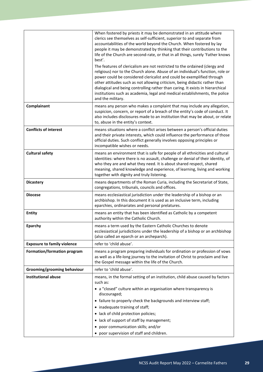|                                    | When fostered by priests it may be demonstrated in an attitude where<br>clerics see themselves as self-sufficient, superior to and separate from<br>accountabilities of the world beyond the Church. When fostered by lay<br>people it may be demonstrated by thinking that their contributions to the<br>life of the Church are second-rate, or that in all things, surely 'Father knows<br>best'.                                                                                                        |
|------------------------------------|------------------------------------------------------------------------------------------------------------------------------------------------------------------------------------------------------------------------------------------------------------------------------------------------------------------------------------------------------------------------------------------------------------------------------------------------------------------------------------------------------------|
|                                    | The features of clericalism are not restricted to the ordained (clergy and<br>religious) nor to the Church alone. Abuse of an individual's function, role or<br>power could be considered clericalist and could be exemplified through<br>other attitudes such as not allowing criticism, being didactic rather than<br>dialogical and being controlling rather than caring. It exists in hierarchical<br>institutions such as academia, legal and medical establishments, the police<br>and the military. |
| Complainant                        | means any person who makes a complaint that may include any allegation,<br>suspicion, concern, or report of a breach of the entity's code of conduct. It<br>also includes disclosures made to an institution that may be about, or relate<br>to, abuse in the entity's context.                                                                                                                                                                                                                            |
| <b>Conflicts of interest</b>       | means situations where a conflict arises between a person's official duties<br>and their private interests, which could influence the performance of those<br>official duties. Such conflict generally involves opposing principles or<br>incompatible wishes or needs.                                                                                                                                                                                                                                    |
| <b>Cultural safety</b>             | means an environment that is safe for people of all ethnicities and cultural<br>identities: where there is no assault, challenge or denial of their identity, of<br>who they are and what they need. It is about shared respect, shared<br>meaning, shared knowledge and experience, of learning, living and working<br>together with dignity and truly listening.                                                                                                                                         |
| <b>Dicastery</b>                   | means departments of the Roman Curia, including the Secretariat of State,<br>congregations, tribunals, councils and offices.                                                                                                                                                                                                                                                                                                                                                                               |
| <b>Diocese</b>                     | means ecclesiastical jurisdiction under the leadership of a bishop or an<br>archbishop. In this document it is used as an inclusive term, including<br>eparchies, ordinariates and personal prelatures.                                                                                                                                                                                                                                                                                                    |
| <b>Entity</b>                      | means an entity that has been identified as Catholic by a competent<br>authority within the Catholic Church.                                                                                                                                                                                                                                                                                                                                                                                               |
| Eparchy                            | means a term used by the Eastern Catholic Churches to denote<br>ecclesiastical jurisdictions under the leadership of a bishop or an archbishop<br>(also called an eparch or an archeparch).                                                                                                                                                                                                                                                                                                                |
| <b>Exposure to family violence</b> | refer to 'child abuse'.                                                                                                                                                                                                                                                                                                                                                                                                                                                                                    |
| Formation/formation program        | means a program preparing individuals for ordination or profession of vows<br>as well as a life-long journey to the invitation of Christ to proclaim and live<br>the Gospel message within the life of the Church.                                                                                                                                                                                                                                                                                         |
| Grooming/grooming behaviour        | refer to 'child abuse'.                                                                                                                                                                                                                                                                                                                                                                                                                                                                                    |
| <b>Institutional abuse</b>         | means, in the formal setting of an institution, child abuse caused by factors<br>such as:<br>• a "closed" culture within an organisation where transparency is<br>discouraged;                                                                                                                                                                                                                                                                                                                             |
|                                    | • failure to properly check the backgrounds and interview staff;                                                                                                                                                                                                                                                                                                                                                                                                                                           |
|                                    | inadequate training of staff;                                                                                                                                                                                                                                                                                                                                                                                                                                                                              |
|                                    | • lack of child protection policies;<br>• lack of support of staff by management;                                                                                                                                                                                                                                                                                                                                                                                                                          |
|                                    | poor communication skills; and/or<br>٠                                                                                                                                                                                                                                                                                                                                                                                                                                                                     |
|                                    | • poor supervision of staff and children.                                                                                                                                                                                                                                                                                                                                                                                                                                                                  |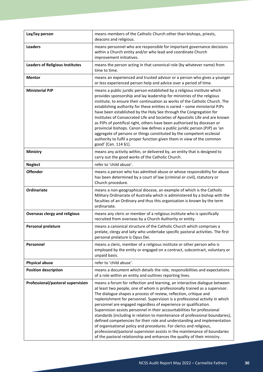| Lay/lay person                         | means members of the Catholic Church other than bishops, priests,<br>deacons and religious.                                                                                                                                                                                                                                                                                                                                                                                                                                                                                                                                                                                                                                                                                                                                                                 |
|----------------------------------------|-------------------------------------------------------------------------------------------------------------------------------------------------------------------------------------------------------------------------------------------------------------------------------------------------------------------------------------------------------------------------------------------------------------------------------------------------------------------------------------------------------------------------------------------------------------------------------------------------------------------------------------------------------------------------------------------------------------------------------------------------------------------------------------------------------------------------------------------------------------|
| <b>Leaders</b>                         | means personnel who are responsible for important governance decisions<br>within a Church entity and/or who lead and coordinate Church<br>improvement initiatives.                                                                                                                                                                                                                                                                                                                                                                                                                                                                                                                                                                                                                                                                                          |
| <b>Leaders of Religious Institutes</b> | means the person acting in that canonical role (by whatever name) from<br>time to time.                                                                                                                                                                                                                                                                                                                                                                                                                                                                                                                                                                                                                                                                                                                                                                     |
| <b>Mentor</b>                          | means an experienced and trusted advisor or a person who gives a younger<br>or less experienced person help and advice over a period of time.                                                                                                                                                                                                                                                                                                                                                                                                                                                                                                                                                                                                                                                                                                               |
| <b>Ministerial PJP</b>                 | means a public juridic person established by a religious institute which<br>provides sponsorship and lay leadership for ministries of the religious<br>institute, to ensure their continuation as works of the Catholic Church. The<br>establishing authority for these entities is varied - some ministerial PJPs<br>have been established by the Holy See through the Congregation for<br>Institutes of Consecrated Life and Societies of Apostolic Life and are known<br>as PJPs of pontifical right, others have been authorised by diocesan or<br>provincial bishops. Canon law defines a public juridic person (PJP) as 'an<br>aggregate of persons or things constituted by the competent ecclesial<br>authority to fulfil a proper function given them in view of the common<br>good' [Can. 114 §1].                                                |
| Ministry                               | means any activity within, or delivered by, an entity that is designed to<br>carry out the good works of the Catholic Church.                                                                                                                                                                                                                                                                                                                                                                                                                                                                                                                                                                                                                                                                                                                               |
| <b>Neglect</b>                         | refer to 'child abuse'.                                                                                                                                                                                                                                                                                                                                                                                                                                                                                                                                                                                                                                                                                                                                                                                                                                     |
| <b>Offender</b>                        | means a person who has admitted abuse or whose responsibility for abuse<br>has been determined by a court of law (criminal or civil), statutory or<br>Church procedure.                                                                                                                                                                                                                                                                                                                                                                                                                                                                                                                                                                                                                                                                                     |
| Ordinariate                            | means a non-geographical diocese, an example of which is the Catholic<br>Military Ordinariate of Australia which is administered by a bishop with the<br>faculties of an Ordinary and thus this organisation is known by the term<br>ordinariate.                                                                                                                                                                                                                                                                                                                                                                                                                                                                                                                                                                                                           |
| <b>Overseas clergy and religious</b>   | means any cleric or member of a religious institute who is specifically<br>recruited from overseas by a Church Authority or entity.                                                                                                                                                                                                                                                                                                                                                                                                                                                                                                                                                                                                                                                                                                                         |
| <b>Personal prelature</b>              | means a canonical structure of the Catholic Church which comprises a<br>prelate, clergy and laity who undertake specific pastoral activities. The first<br>personal prelature is Opus Dei.                                                                                                                                                                                                                                                                                                                                                                                                                                                                                                                                                                                                                                                                  |
| Personnel                              | means a cleric, member of a religious institute or other person who is<br>employed by the entity or engaged on a contract, subcontract, voluntary or<br>unpaid basis.                                                                                                                                                                                                                                                                                                                                                                                                                                                                                                                                                                                                                                                                                       |
| <b>Physical abuse</b>                  | refer to 'child abuse'.                                                                                                                                                                                                                                                                                                                                                                                                                                                                                                                                                                                                                                                                                                                                                                                                                                     |
| <b>Position description</b>            | means a document which details the role, responsibilities and expectations<br>of a role within an entity and outlines reporting lines.                                                                                                                                                                                                                                                                                                                                                                                                                                                                                                                                                                                                                                                                                                                      |
| Professional/pastoral supervision      | means a forum for reflection and learning, an interactive dialogue between<br>at least two people, one of whom is professionally trained as a supervisor.<br>The dialogue shapes a process of review, reflection, critique and<br>replenishment for personnel. Supervision is a professional activity in which<br>personnel are engaged regardless of experience or qualification.<br>Supervision assists personnel in their accountabilities for professional<br>standards (including in relation to maintenance of professional boundaries),<br>defined competencies for their role and understanding and implementation<br>of organisational policy and procedures. For clerics and religious,<br>professional/pastoral supervision assists in the maintenance of boundaries<br>of the pastoral relationship and enhances the quality of their ministry. |